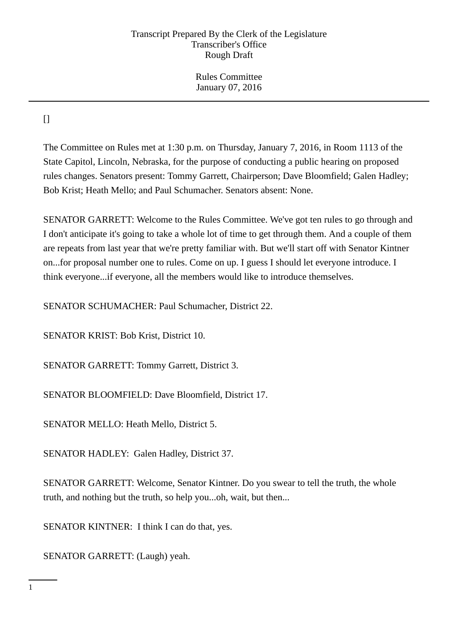Rules Committee January 07, 2016

 $\prod$ 

The Committee on Rules met at 1:30 p.m. on Thursday, January 7, 2016, in Room 1113 of the State Capitol, Lincoln, Nebraska, for the purpose of conducting a public hearing on proposed rules changes. Senators present: Tommy Garrett, Chairperson; Dave Bloomfield; Galen Hadley; Bob Krist; Heath Mello; and Paul Schumacher. Senators absent: None.

SENATOR GARRETT: Welcome to the Rules Committee. We've got ten rules to go through and I don't anticipate it's going to take a whole lot of time to get through them. And a couple of them are repeats from last year that we're pretty familiar with. But we'll start off with Senator Kintner on...for proposal number one to rules. Come on up. I guess I should let everyone introduce. I think everyone...if everyone, all the members would like to introduce themselves.

SENATOR SCHUMACHER: Paul Schumacher, District 22.

SENATOR KRIST: Bob Krist, District 10.

SENATOR GARRETT: Tommy Garrett, District 3.

SENATOR BLOOMFIELD: Dave Bloomfield, District 17.

SENATOR MELLO: Heath Mello, District 5.

SENATOR HADLEY: Galen Hadley, District 37.

SENATOR GARRETT: Welcome, Senator Kintner. Do you swear to tell the truth, the whole truth, and nothing but the truth, so help you...oh, wait, but then...

SENATOR KINTNER: I think I can do that, yes.

SENATOR GARRETT: (Laugh) yeah.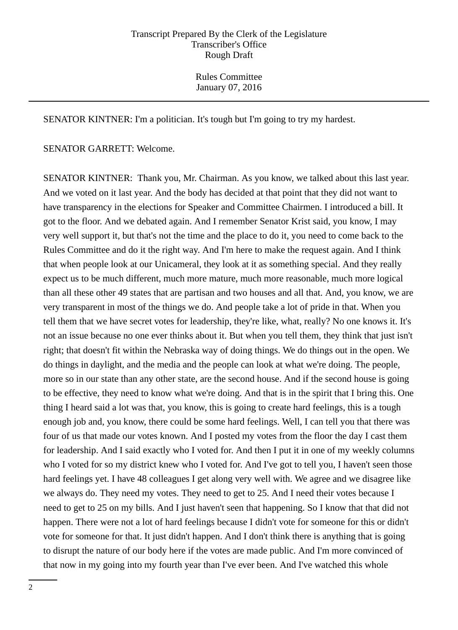SENATOR KINTNER: I'm a politician. It's tough but I'm going to try my hardest.

### SENATOR GARRETT: Welcome.

SENATOR KINTNER: Thank you, Mr. Chairman. As you know, we talked about this last year. And we voted on it last year. And the body has decided at that point that they did not want to have transparency in the elections for Speaker and Committee Chairmen. I introduced a bill. It got to the floor. And we debated again. And I remember Senator Krist said, you know, I may very well support it, but that's not the time and the place to do it, you need to come back to the Rules Committee and do it the right way. And I'm here to make the request again. And I think that when people look at our Unicameral, they look at it as something special. And they really expect us to be much different, much more mature, much more reasonable, much more logical than all these other 49 states that are partisan and two houses and all that. And, you know, we are very transparent in most of the things we do. And people take a lot of pride in that. When you tell them that we have secret votes for leadership, they're like, what, really? No one knows it. It's not an issue because no one ever thinks about it. But when you tell them, they think that just isn't right; that doesn't fit within the Nebraska way of doing things. We do things out in the open. We do things in daylight, and the media and the people can look at what we're doing. The people, more so in our state than any other state, are the second house. And if the second house is going to be effective, they need to know what we're doing. And that is in the spirit that I bring this. One thing I heard said a lot was that, you know, this is going to create hard feelings, this is a tough enough job and, you know, there could be some hard feelings. Well, I can tell you that there was four of us that made our votes known. And I posted my votes from the floor the day I cast them for leadership. And I said exactly who I voted for. And then I put it in one of my weekly columns who I voted for so my district knew who I voted for. And I've got to tell you, I haven't seen those hard feelings yet. I have 48 colleagues I get along very well with. We agree and we disagree like we always do. They need my votes. They need to get to 25. And I need their votes because I need to get to 25 on my bills. And I just haven't seen that happening. So I know that that did not happen. There were not a lot of hard feelings because I didn't vote for someone for this or didn't vote for someone for that. It just didn't happen. And I don't think there is anything that is going to disrupt the nature of our body here if the votes are made public. And I'm more convinced of that now in my going into my fourth year than I've ever been. And I've watched this whole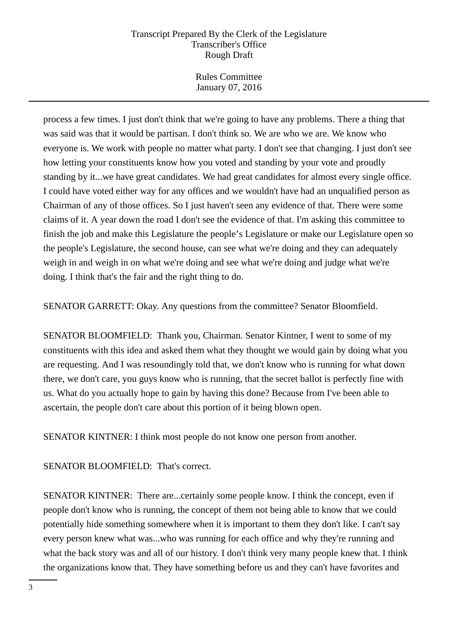Rules Committee January 07, 2016

process a few times. I just don't think that we're going to have any problems. There a thing that was said was that it would be partisan. I don't think so. We are who we are. We know who everyone is. We work with people no matter what party. I don't see that changing. I just don't see how letting your constituents know how you voted and standing by your vote and proudly standing by it...we have great candidates. We had great candidates for almost every single office. I could have voted either way for any offices and we wouldn't have had an unqualified person as Chairman of any of those offices. So I just haven't seen any evidence of that. There were some claims of it. A year down the road I don't see the evidence of that. I'm asking this committee to finish the job and make this Legislature the people's Legislature or make our Legislature open so the people's Legislature, the second house, can see what we're doing and they can adequately weigh in and weigh in on what we're doing and see what we're doing and judge what we're doing. I think that's the fair and the right thing to do.

SENATOR GARRETT: Okay. Any questions from the committee? Senator Bloomfield.

SENATOR BLOOMFIELD: Thank you, Chairman. Senator Kintner, I went to some of my constituents with this idea and asked them what they thought we would gain by doing what you are requesting. And I was resoundingly told that, we don't know who is running for what down there, we don't care, you guys know who is running, that the secret ballot is perfectly fine with us. What do you actually hope to gain by having this done? Because from I've been able to ascertain, the people don't care about this portion of it being blown open.

SENATOR KINTNER: I think most people do not know one person from another.

SENATOR BLOOMFIELD: That's correct.

SENATOR KINTNER: There are...certainly some people know. I think the concept, even if people don't know who is running, the concept of them not being able to know that we could potentially hide something somewhere when it is important to them they don't like. I can't say every person knew what was...who was running for each office and why they're running and what the back story was and all of our history. I don't think very many people knew that. I think the organizations know that. They have something before us and they can't have favorites and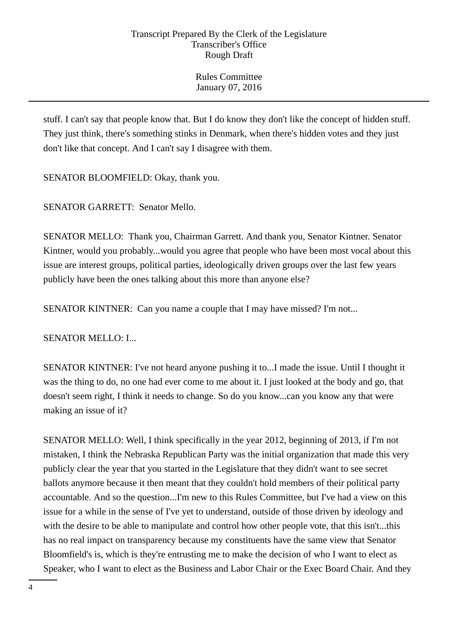Rules Committee January 07, 2016

stuff. I can't say that people know that. But I do know they don't like the concept of hidden stuff. They just think, there's something stinks in Denmark, when there's hidden votes and they just don't like that concept. And I can't say I disagree with them.

SENATOR BLOOMFIELD: Okay, thank you.

SENATOR GARRETT: Senator Mello.

SENATOR MELLO: Thank you, Chairman Garrett. And thank you, Senator Kintner. Senator Kintner, would you probably...would you agree that people who have been most vocal about this issue are interest groups, political parties, ideologically driven groups over the last few years publicly have been the ones talking about this more than anyone else?

SENATOR KINTNER: Can you name a couple that I may have missed? I'm not...

SENATOR MELLO: I...

SENATOR KINTNER: I've not heard anyone pushing it to...I made the issue. Until I thought it was the thing to do, no one had ever come to me about it. I just looked at the body and go, that doesn't seem right, I think it needs to change. So do you know...can you know any that were making an issue of it?

SENATOR MELLO: Well, I think specifically in the year 2012, beginning of 2013, if I'm not mistaken, I think the Nebraska Republican Party was the initial organization that made this very publicly clear the year that you started in the Legislature that they didn't want to see secret ballots anymore because it then meant that they couldn't hold members of their political party accountable. And so the question...I'm new to this Rules Committee, but I've had a view on this issue for a while in the sense of I've yet to understand, outside of those driven by ideology and with the desire to be able to manipulate and control how other people vote, that this isn't...this has no real impact on transparency because my constituents have the same view that Senator Bloomfield's is, which is they're entrusting me to make the decision of who I want to elect as Speaker, who I want to elect as the Business and Labor Chair or the Exec Board Chair. And they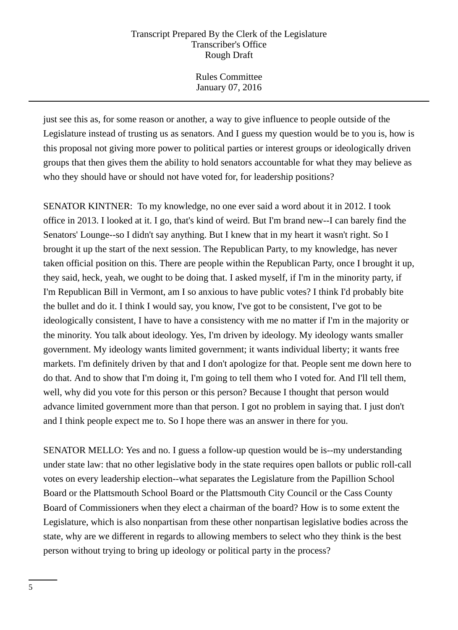Rules Committee January 07, 2016

just see this as, for some reason or another, a way to give influence to people outside of the Legislature instead of trusting us as senators. And I guess my question would be to you is, how is this proposal not giving more power to political parties or interest groups or ideologically driven groups that then gives them the ability to hold senators accountable for what they may believe as who they should have or should not have voted for, for leadership positions?

SENATOR KINTNER: To my knowledge, no one ever said a word about it in 2012. I took office in 2013. I looked at it. I go, that's kind of weird. But I'm brand new--I can barely find the Senators' Lounge--so I didn't say anything. But I knew that in my heart it wasn't right. So I brought it up the start of the next session. The Republican Party, to my knowledge, has never taken official position on this. There are people within the Republican Party, once I brought it up, they said, heck, yeah, we ought to be doing that. I asked myself, if I'm in the minority party, if I'm Republican Bill in Vermont, am I so anxious to have public votes? I think I'd probably bite the bullet and do it. I think I would say, you know, I've got to be consistent, I've got to be ideologically consistent, I have to have a consistency with me no matter if I'm in the majority or the minority. You talk about ideology. Yes, I'm driven by ideology. My ideology wants smaller government. My ideology wants limited government; it wants individual liberty; it wants free markets. I'm definitely driven by that and I don't apologize for that. People sent me down here to do that. And to show that I'm doing it, I'm going to tell them who I voted for. And I'll tell them, well, why did you vote for this person or this person? Because I thought that person would advance limited government more than that person. I got no problem in saying that. I just don't and I think people expect me to. So I hope there was an answer in there for you.

SENATOR MELLO: Yes and no. I guess a follow-up question would be is--my understanding under state law: that no other legislative body in the state requires open ballots or public roll-call votes on every leadership election--what separates the Legislature from the Papillion School Board or the Plattsmouth School Board or the Plattsmouth City Council or the Cass County Board of Commissioners when they elect a chairman of the board? How is to some extent the Legislature, which is also nonpartisan from these other nonpartisan legislative bodies across the state, why are we different in regards to allowing members to select who they think is the best person without trying to bring up ideology or political party in the process?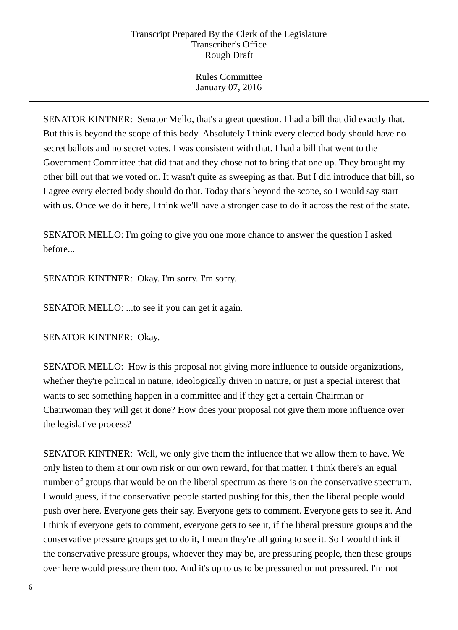Rules Committee January 07, 2016

SENATOR KINTNER: Senator Mello, that's a great question. I had a bill that did exactly that. But this is beyond the scope of this body. Absolutely I think every elected body should have no secret ballots and no secret votes. I was consistent with that. I had a bill that went to the Government Committee that did that and they chose not to bring that one up. They brought my other bill out that we voted on. It wasn't quite as sweeping as that. But I did introduce that bill, so I agree every elected body should do that. Today that's beyond the scope, so I would say start with us. Once we do it here, I think we'll have a stronger case to do it across the rest of the state.

SENATOR MELLO: I'm going to give you one more chance to answer the question I asked before...

SENATOR KINTNER: Okay. I'm sorry. I'm sorry.

SENATOR MELLO: ...to see if you can get it again.

SENATOR KINTNER: Okay.

SENATOR MELLO: How is this proposal not giving more influence to outside organizations, whether they're political in nature, ideologically driven in nature, or just a special interest that wants to see something happen in a committee and if they get a certain Chairman or Chairwoman they will get it done? How does your proposal not give them more influence over the legislative process?

SENATOR KINTNER: Well, we only give them the influence that we allow them to have. We only listen to them at our own risk or our own reward, for that matter. I think there's an equal number of groups that would be on the liberal spectrum as there is on the conservative spectrum. I would guess, if the conservative people started pushing for this, then the liberal people would push over here. Everyone gets their say. Everyone gets to comment. Everyone gets to see it. And I think if everyone gets to comment, everyone gets to see it, if the liberal pressure groups and the conservative pressure groups get to do it, I mean they're all going to see it. So I would think if the conservative pressure groups, whoever they may be, are pressuring people, then these groups over here would pressure them too. And it's up to us to be pressured or not pressured. I'm not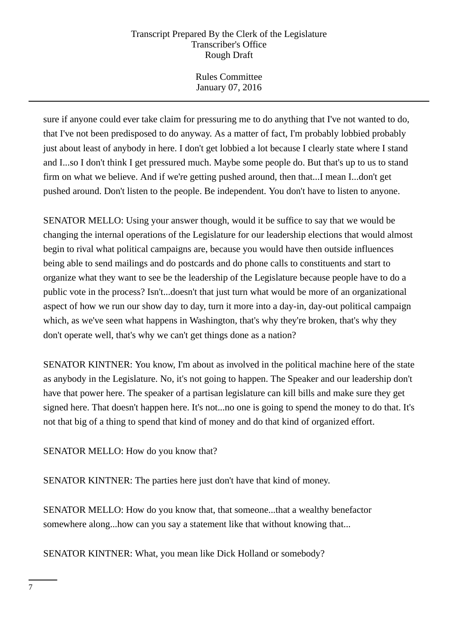Rules Committee January 07, 2016

sure if anyone could ever take claim for pressuring me to do anything that I've not wanted to do, that I've not been predisposed to do anyway. As a matter of fact, I'm probably lobbied probably just about least of anybody in here. I don't get lobbied a lot because I clearly state where I stand and I...so I don't think I get pressured much. Maybe some people do. But that's up to us to stand firm on what we believe. And if we're getting pushed around, then that...I mean I...don't get pushed around. Don't listen to the people. Be independent. You don't have to listen to anyone.

SENATOR MELLO: Using your answer though, would it be suffice to say that we would be changing the internal operations of the Legislature for our leadership elections that would almost begin to rival what political campaigns are, because you would have then outside influences being able to send mailings and do postcards and do phone calls to constituents and start to organize what they want to see be the leadership of the Legislature because people have to do a public vote in the process? Isn't...doesn't that just turn what would be more of an organizational aspect of how we run our show day to day, turn it more into a day-in, day-out political campaign which, as we've seen what happens in Washington, that's why they're broken, that's why they don't operate well, that's why we can't get things done as a nation?

SENATOR KINTNER: You know, I'm about as involved in the political machine here of the state as anybody in the Legislature. No, it's not going to happen. The Speaker and our leadership don't have that power here. The speaker of a partisan legislature can kill bills and make sure they get signed here. That doesn't happen here. It's not...no one is going to spend the money to do that. It's not that big of a thing to spend that kind of money and do that kind of organized effort.

SENATOR MELLO: How do you know that?

SENATOR KINTNER: The parties here just don't have that kind of money.

SENATOR MELLO: How do you know that, that someone...that a wealthy benefactor somewhere along...how can you say a statement like that without knowing that...

SENATOR KINTNER: What, you mean like Dick Holland or somebody?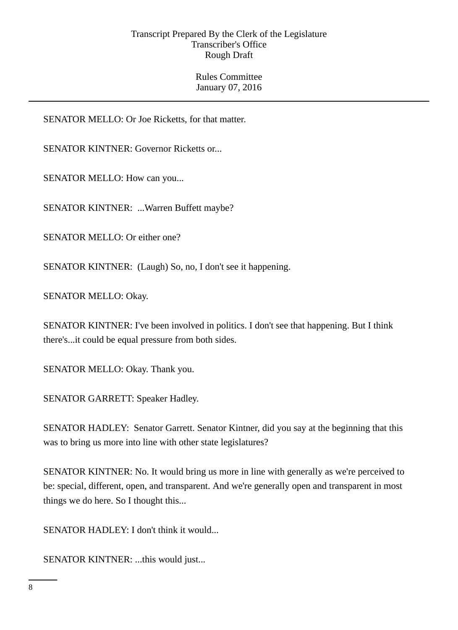Rules Committee January 07, 2016

SENATOR MELLO: Or Joe Ricketts, for that matter.

SENATOR KINTNER: Governor Ricketts or...

SENATOR MELLO: How can you...

SENATOR KINTNER: ...Warren Buffett maybe?

SENATOR MELLO: Or either one?

SENATOR KINTNER: (Laugh) So, no, I don't see it happening.

SENATOR MELLO: Okay.

SENATOR KINTNER: I've been involved in politics. I don't see that happening. But I think there's...it could be equal pressure from both sides.

SENATOR MELLO: Okay. Thank you.

SENATOR GARRETT: Speaker Hadley.

SENATOR HADLEY: Senator Garrett. Senator Kintner, did you say at the beginning that this was to bring us more into line with other state legislatures?

SENATOR KINTNER: No. It would bring us more in line with generally as we're perceived to be: special, different, open, and transparent. And we're generally open and transparent in most things we do here. So I thought this...

SENATOR HADLEY: I don't think it would...

SENATOR KINTNER: ...this would just...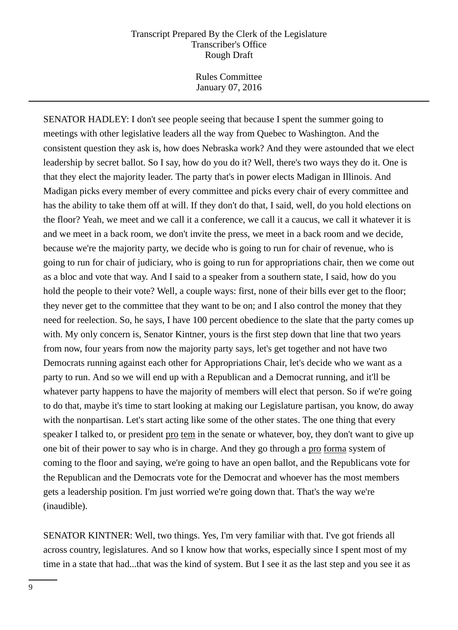Rules Committee January 07, 2016

SENATOR HADLEY: I don't see people seeing that because I spent the summer going to meetings with other legislative leaders all the way from Quebec to Washington. And the consistent question they ask is, how does Nebraska work? And they were astounded that we elect leadership by secret ballot. So I say, how do you do it? Well, there's two ways they do it. One is that they elect the majority leader. The party that's in power elects Madigan in Illinois. And Madigan picks every member of every committee and picks every chair of every committee and has the ability to take them off at will. If they don't do that, I said, well, do you hold elections on the floor? Yeah, we meet and we call it a conference, we call it a caucus, we call it whatever it is and we meet in a back room, we don't invite the press, we meet in a back room and we decide, because we're the majority party, we decide who is going to run for chair of revenue, who is going to run for chair of judiciary, who is going to run for appropriations chair, then we come out as a bloc and vote that way. And I said to a speaker from a southern state, I said, how do you hold the people to their vote? Well, a couple ways: first, none of their bills ever get to the floor; they never get to the committee that they want to be on; and I also control the money that they need for reelection. So, he says, I have 100 percent obedience to the slate that the party comes up with. My only concern is, Senator Kintner, yours is the first step down that line that two years from now, four years from now the majority party says, let's get together and not have two Democrats running against each other for Appropriations Chair, let's decide who we want as a party to run. And so we will end up with a Republican and a Democrat running, and it'll be whatever party happens to have the majority of members will elect that person. So if we're going to do that, maybe it's time to start looking at making our Legislature partisan, you know, do away with the nonpartisan. Let's start acting like some of the other states. The one thing that every speaker I talked to, or president pro tem in the senate or whatever, boy, they don't want to give up one bit of their power to say who is in charge. And they go through a pro forma system of coming to the floor and saying, we're going to have an open ballot, and the Republicans vote for the Republican and the Democrats vote for the Democrat and whoever has the most members gets a leadership position. I'm just worried we're going down that. That's the way we're (inaudible).

SENATOR KINTNER: Well, two things. Yes, I'm very familiar with that. I've got friends all across country, legislatures. And so I know how that works, especially since I spent most of my time in a state that had...that was the kind of system. But I see it as the last step and you see it as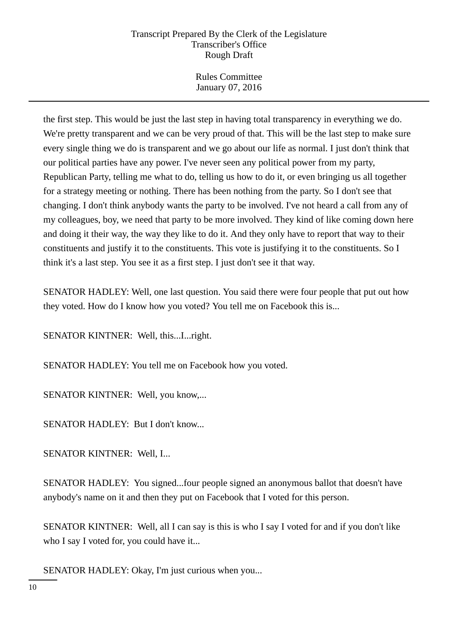Rules Committee January 07, 2016

the first step. This would be just the last step in having total transparency in everything we do. We're pretty transparent and we can be very proud of that. This will be the last step to make sure every single thing we do is transparent and we go about our life as normal. I just don't think that our political parties have any power. I've never seen any political power from my party, Republican Party, telling me what to do, telling us how to do it, or even bringing us all together for a strategy meeting or nothing. There has been nothing from the party. So I don't see that changing. I don't think anybody wants the party to be involved. I've not heard a call from any of my colleagues, boy, we need that party to be more involved. They kind of like coming down here and doing it their way, the way they like to do it. And they only have to report that way to their constituents and justify it to the constituents. This vote is justifying it to the constituents. So I think it's a last step. You see it as a first step. I just don't see it that way.

SENATOR HADLEY: Well, one last question. You said there were four people that put out how they voted. How do I know how you voted? You tell me on Facebook this is...

SENATOR KINTNER: Well, this...I...right.

SENATOR HADLEY: You tell me on Facebook how you voted.

SENATOR KINTNER: Well, you know,...

SENATOR HADLEY: But I don't know...

SENATOR KINTNER: Well, I...

SENATOR HADLEY: You signed...four people signed an anonymous ballot that doesn't have anybody's name on it and then they put on Facebook that I voted for this person.

SENATOR KINTNER: Well, all I can say is this is who I say I voted for and if you don't like who I say I voted for, you could have it...

SENATOR HADLEY: Okay, I'm just curious when you...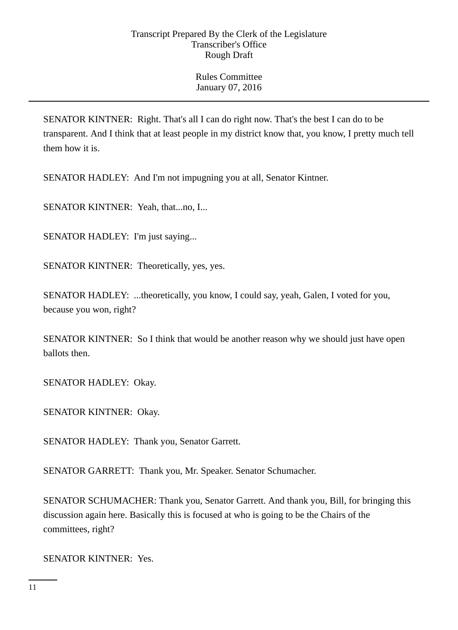SENATOR KINTNER: Right. That's all I can do right now. That's the best I can do to be transparent. And I think that at least people in my district know that, you know, I pretty much tell them how it is.

SENATOR HADLEY: And I'm not impugning you at all, Senator Kintner.

SENATOR KINTNER: Yeah, that...no, I...

SENATOR HADLEY: I'm just saying...

SENATOR KINTNER: Theoretically, yes, yes.

SENATOR HADLEY: ...theoretically, you know, I could say, yeah, Galen, I voted for you, because you won, right?

SENATOR KINTNER: So I think that would be another reason why we should just have open ballots then.

SENATOR HADLEY: Okay.

SENATOR KINTNER: Okay.

SENATOR HADLEY: Thank you, Senator Garrett.

SENATOR GARRETT: Thank you, Mr. Speaker. Senator Schumacher.

SENATOR SCHUMACHER: Thank you, Senator Garrett. And thank you, Bill, for bringing this discussion again here. Basically this is focused at who is going to be the Chairs of the committees, right?

SENATOR KINTNER: Yes.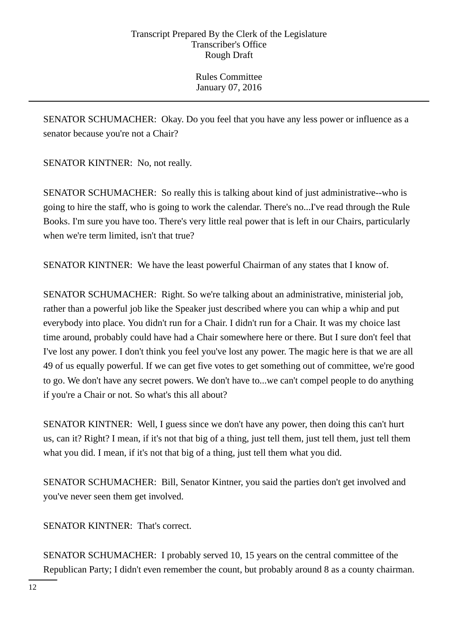SENATOR SCHUMACHER: Okay. Do you feel that you have any less power or influence as a senator because you're not a Chair?

SENATOR KINTNER: No, not really.

SENATOR SCHUMACHER: So really this is talking about kind of just administrative--who is going to hire the staff, who is going to work the calendar. There's no...I've read through the Rule Books. I'm sure you have too. There's very little real power that is left in our Chairs, particularly when we're term limited, isn't that true?

SENATOR KINTNER: We have the least powerful Chairman of any states that I know of.

SENATOR SCHUMACHER: Right. So we're talking about an administrative, ministerial job, rather than a powerful job like the Speaker just described where you can whip a whip and put everybody into place. You didn't run for a Chair. I didn't run for a Chair. It was my choice last time around, probably could have had a Chair somewhere here or there. But I sure don't feel that I've lost any power. I don't think you feel you've lost any power. The magic here is that we are all 49 of us equally powerful. If we can get five votes to get something out of committee, we're good to go. We don't have any secret powers. We don't have to...we can't compel people to do anything if you're a Chair or not. So what's this all about?

SENATOR KINTNER: Well, I guess since we don't have any power, then doing this can't hurt us, can it? Right? I mean, if it's not that big of a thing, just tell them, just tell them, just tell them what you did. I mean, if it's not that big of a thing, just tell them what you did.

SENATOR SCHUMACHER: Bill, Senator Kintner, you said the parties don't get involved and you've never seen them get involved.

SENATOR KINTNER: That's correct.

SENATOR SCHUMACHER: I probably served 10, 15 years on the central committee of the Republican Party; I didn't even remember the count, but probably around 8 as a county chairman.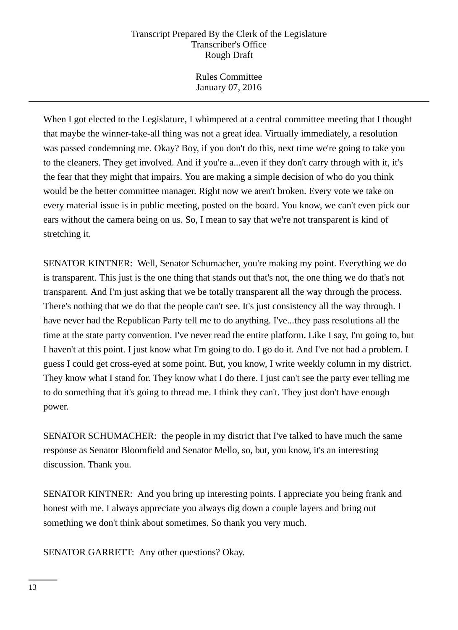Rules Committee January 07, 2016

When I got elected to the Legislature, I whimpered at a central committee meeting that I thought that maybe the winner-take-all thing was not a great idea. Virtually immediately, a resolution was passed condemning me. Okay? Boy, if you don't do this, next time we're going to take you to the cleaners. They get involved. And if you're a...even if they don't carry through with it, it's the fear that they might that impairs. You are making a simple decision of who do you think would be the better committee manager. Right now we aren't broken. Every vote we take on every material issue is in public meeting, posted on the board. You know, we can't even pick our ears without the camera being on us. So, I mean to say that we're not transparent is kind of stretching it.

SENATOR KINTNER: Well, Senator Schumacher, you're making my point. Everything we do is transparent. This just is the one thing that stands out that's not, the one thing we do that's not transparent. And I'm just asking that we be totally transparent all the way through the process. There's nothing that we do that the people can't see. It's just consistency all the way through. I have never had the Republican Party tell me to do anything. I've...they pass resolutions all the time at the state party convention. I've never read the entire platform. Like I say, I'm going to, but I haven't at this point. I just know what I'm going to do. I go do it. And I've not had a problem. I guess I could get cross-eyed at some point. But, you know, I write weekly column in my district. They know what I stand for. They know what I do there. I just can't see the party ever telling me to do something that it's going to thread me. I think they can't. They just don't have enough power.

SENATOR SCHUMACHER: the people in my district that I've talked to have much the same response as Senator Bloomfield and Senator Mello, so, but, you know, it's an interesting discussion. Thank you.

SENATOR KINTNER: And you bring up interesting points. I appreciate you being frank and honest with me. I always appreciate you always dig down a couple layers and bring out something we don't think about sometimes. So thank you very much.

SENATOR GARRETT: Any other questions? Okay.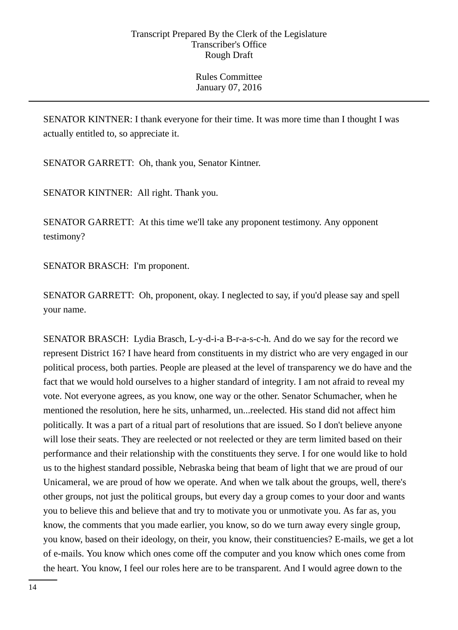SENATOR KINTNER: I thank everyone for their time. It was more time than I thought I was actually entitled to, so appreciate it.

SENATOR GARRETT: Oh, thank you, Senator Kintner.

SENATOR KINTNER: All right. Thank you.

SENATOR GARRETT: At this time we'll take any proponent testimony. Any opponent testimony?

SENATOR BRASCH: I'm proponent.

SENATOR GARRETT: Oh, proponent, okay. I neglected to say, if you'd please say and spell your name.

SENATOR BRASCH: Lydia Brasch, L-y-d-i-a B-r-a-s-c-h. And do we say for the record we represent District 16? I have heard from constituents in my district who are very engaged in our political process, both parties. People are pleased at the level of transparency we do have and the fact that we would hold ourselves to a higher standard of integrity. I am not afraid to reveal my vote. Not everyone agrees, as you know, one way or the other. Senator Schumacher, when he mentioned the resolution, here he sits, unharmed, un...reelected. His stand did not affect him politically. It was a part of a ritual part of resolutions that are issued. So I don't believe anyone will lose their seats. They are reelected or not reelected or they are term limited based on their performance and their relationship with the constituents they serve. I for one would like to hold us to the highest standard possible, Nebraska being that beam of light that we are proud of our Unicameral, we are proud of how we operate. And when we talk about the groups, well, there's other groups, not just the political groups, but every day a group comes to your door and wants you to believe this and believe that and try to motivate you or unmotivate you. As far as, you know, the comments that you made earlier, you know, so do we turn away every single group, you know, based on their ideology, on their, you know, their constituencies? E-mails, we get a lot of e-mails. You know which ones come off the computer and you know which ones come from the heart. You know, I feel our roles here are to be transparent. And I would agree down to the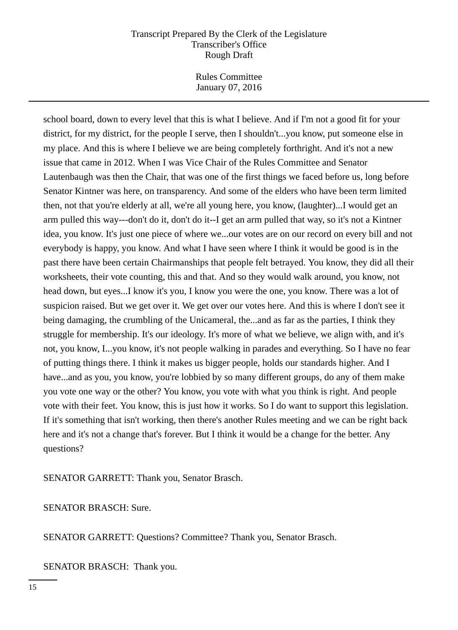Rules Committee January 07, 2016

school board, down to every level that this is what I believe. And if I'm not a good fit for your district, for my district, for the people I serve, then I shouldn't...you know, put someone else in my place. And this is where I believe we are being completely forthright. And it's not a new issue that came in 2012. When I was Vice Chair of the Rules Committee and Senator Lautenbaugh was then the Chair, that was one of the first things we faced before us, long before Senator Kintner was here, on transparency. And some of the elders who have been term limited then, not that you're elderly at all, we're all young here, you know, (laughter)...I would get an arm pulled this way---don't do it, don't do it--I get an arm pulled that way, so it's not a Kintner idea, you know. It's just one piece of where we...our votes are on our record on every bill and not everybody is happy, you know. And what I have seen where I think it would be good is in the past there have been certain Chairmanships that people felt betrayed. You know, they did all their worksheets, their vote counting, this and that. And so they would walk around, you know, not head down, but eyes...I know it's you, I know you were the one, you know. There was a lot of suspicion raised. But we get over it. We get over our votes here. And this is where I don't see it being damaging, the crumbling of the Unicameral, the...and as far as the parties, I think they struggle for membership. It's our ideology. It's more of what we believe, we align with, and it's not, you know, I...you know, it's not people walking in parades and everything. So I have no fear of putting things there. I think it makes us bigger people, holds our standards higher. And I have...and as you, you know, you're lobbied by so many different groups, do any of them make you vote one way or the other? You know, you vote with what you think is right. And people vote with their feet. You know, this is just how it works. So I do want to support this legislation. If it's something that isn't working, then there's another Rules meeting and we can be right back here and it's not a change that's forever. But I think it would be a change for the better. Any questions?

SENATOR GARRETT: Thank you, Senator Brasch.

SENATOR BRASCH: Sure.

SENATOR GARRETT: Questions? Committee? Thank you, Senator Brasch.

SENATOR BRASCH: Thank you.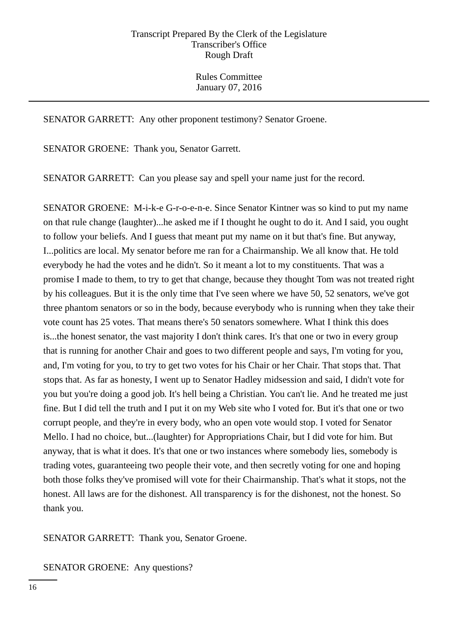SENATOR GARRETT: Any other proponent testimony? Senator Groene.

SENATOR GROENE: Thank you, Senator Garrett.

SENATOR GARRETT: Can you please say and spell your name just for the record.

SENATOR GROENE: M-i-k-e G-r-o-e-n-e. Since Senator Kintner was so kind to put my name on that rule change (laughter)...he asked me if I thought he ought to do it. And I said, you ought to follow your beliefs. And I guess that meant put my name on it but that's fine. But anyway, I...politics are local. My senator before me ran for a Chairmanship. We all know that. He told everybody he had the votes and he didn't. So it meant a lot to my constituents. That was a promise I made to them, to try to get that change, because they thought Tom was not treated right by his colleagues. But it is the only time that I've seen where we have 50, 52 senators, we've got three phantom senators or so in the body, because everybody who is running when they take their vote count has 25 votes. That means there's 50 senators somewhere. What I think this does is...the honest senator, the vast majority I don't think cares. It's that one or two in every group that is running for another Chair and goes to two different people and says, I'm voting for you, and, I'm voting for you, to try to get two votes for his Chair or her Chair. That stops that. That stops that. As far as honesty, I went up to Senator Hadley midsession and said, I didn't vote for you but you're doing a good job. It's hell being a Christian. You can't lie. And he treated me just fine. But I did tell the truth and I put it on my Web site who I voted for. But it's that one or two corrupt people, and they're in every body, who an open vote would stop. I voted for Senator Mello. I had no choice, but...(laughter) for Appropriations Chair, but I did vote for him. But anyway, that is what it does. It's that one or two instances where somebody lies, somebody is trading votes, guaranteeing two people their vote, and then secretly voting for one and hoping both those folks they've promised will vote for their Chairmanship. That's what it stops, not the honest. All laws are for the dishonest. All transparency is for the dishonest, not the honest. So thank you.

SENATOR GARRETT: Thank you, Senator Groene.

SENATOR GROENE: Any questions?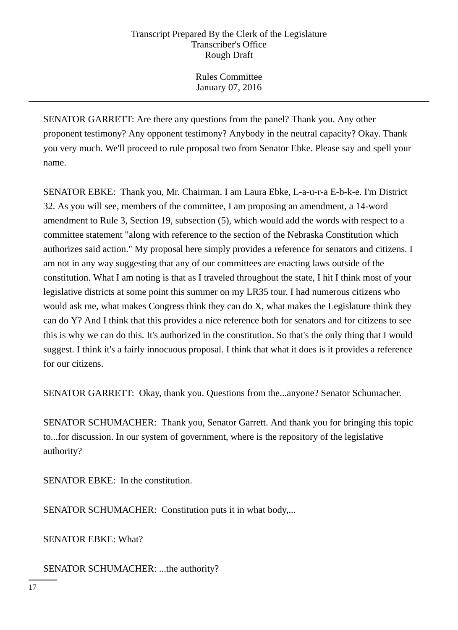Rules Committee January 07, 2016

SENATOR GARRETT: Are there any questions from the panel? Thank you. Any other proponent testimony? Any opponent testimony? Anybody in the neutral capacity? Okay. Thank you very much. We'll proceed to rule proposal two from Senator Ebke. Please say and spell your name.

SENATOR EBKE: Thank you, Mr. Chairman. I am Laura Ebke, L-a-u-r-a E-b-k-e. I'm District 32. As you will see, members of the committee, I am proposing an amendment, a 14-word amendment to Rule 3, Section 19, subsection (5), which would add the words with respect to a committee statement "along with reference to the section of the Nebraska Constitution which authorizes said action." My proposal here simply provides a reference for senators and citizens. I am not in any way suggesting that any of our committees are enacting laws outside of the constitution. What I am noting is that as I traveled throughout the state, I hit I think most of your legislative districts at some point this summer on my LR35 tour. I had numerous citizens who would ask me, what makes Congress think they can do X, what makes the Legislature think they can do Y? And I think that this provides a nice reference both for senators and for citizens to see this is why we can do this. It's authorized in the constitution. So that's the only thing that I would suggest. I think it's a fairly innocuous proposal. I think that what it does is it provides a reference for our citizens.

SENATOR GARRETT: Okay, thank you. Questions from the...anyone? Senator Schumacher.

SENATOR SCHUMACHER: Thank you, Senator Garrett. And thank you for bringing this topic to...for discussion. In our system of government, where is the repository of the legislative authority?

SENATOR EBKE: In the constitution.

SENATOR SCHUMACHER: Constitution puts it in what body,...

SENATOR EBKE: What?

SENATOR SCHUMACHER: ...the authority?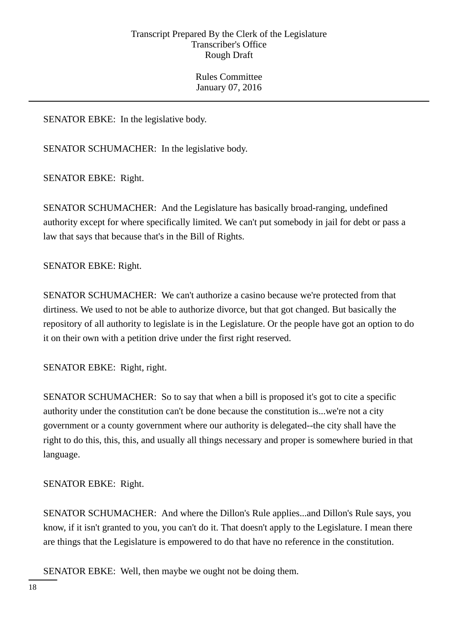Rules Committee January 07, 2016

SENATOR EBKE: In the legislative body.

SENATOR SCHUMACHER: In the legislative body.

SENATOR EBKE: Right.

SENATOR SCHUMACHER: And the Legislature has basically broad-ranging, undefined authority except for where specifically limited. We can't put somebody in jail for debt or pass a law that says that because that's in the Bill of Rights.

SENATOR EBKE: Right.

SENATOR SCHUMACHER: We can't authorize a casino because we're protected from that dirtiness. We used to not be able to authorize divorce, but that got changed. But basically the repository of all authority to legislate is in the Legislature. Or the people have got an option to do it on their own with a petition drive under the first right reserved.

SENATOR EBKE: Right, right.

SENATOR SCHUMACHER: So to say that when a bill is proposed it's got to cite a specific authority under the constitution can't be done because the constitution is...we're not a city government or a county government where our authority is delegated--the city shall have the right to do this, this, this, and usually all things necessary and proper is somewhere buried in that language.

SENATOR EBKE: Right.

SENATOR SCHUMACHER: And where the Dillon's Rule applies...and Dillon's Rule says, you know, if it isn't granted to you, you can't do it. That doesn't apply to the Legislature. I mean there are things that the Legislature is empowered to do that have no reference in the constitution.

SENATOR EBKE: Well, then maybe we ought not be doing them.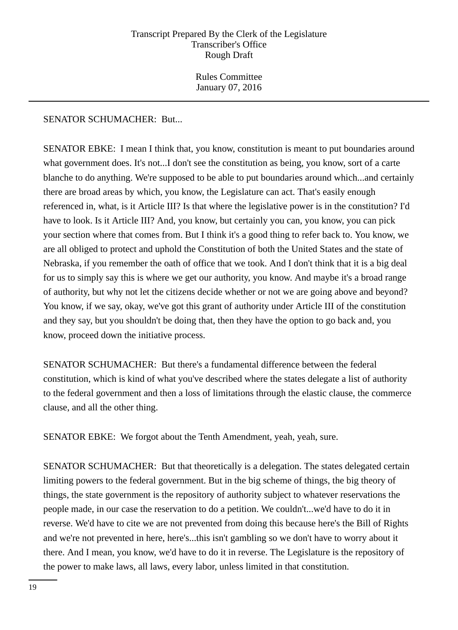Rules Committee January 07, 2016

# SENATOR SCHUMACHER: But...

SENATOR EBKE: I mean I think that, you know, constitution is meant to put boundaries around what government does. It's not...I don't see the constitution as being, you know, sort of a carte blanche to do anything. We're supposed to be able to put boundaries around which...and certainly there are broad areas by which, you know, the Legislature can act. That's easily enough referenced in, what, is it Article III? Is that where the legislative power is in the constitution? I'd have to look. Is it Article III? And, you know, but certainly you can, you know, you can pick your section where that comes from. But I think it's a good thing to refer back to. You know, we are all obliged to protect and uphold the Constitution of both the United States and the state of Nebraska, if you remember the oath of office that we took. And I don't think that it is a big deal for us to simply say this is where we get our authority, you know. And maybe it's a broad range of authority, but why not let the citizens decide whether or not we are going above and beyond? You know, if we say, okay, we've got this grant of authority under Article III of the constitution and they say, but you shouldn't be doing that, then they have the option to go back and, you know, proceed down the initiative process.

SENATOR SCHUMACHER: But there's a fundamental difference between the federal constitution, which is kind of what you've described where the states delegate a list of authority to the federal government and then a loss of limitations through the elastic clause, the commerce clause, and all the other thing.

SENATOR EBKE: We forgot about the Tenth Amendment, yeah, yeah, sure.

SENATOR SCHUMACHER: But that theoretically is a delegation. The states delegated certain limiting powers to the federal government. But in the big scheme of things, the big theory of things, the state government is the repository of authority subject to whatever reservations the people made, in our case the reservation to do a petition. We couldn't...we'd have to do it in reverse. We'd have to cite we are not prevented from doing this because here's the Bill of Rights and we're not prevented in here, here's...this isn't gambling so we don't have to worry about it there. And I mean, you know, we'd have to do it in reverse. The Legislature is the repository of the power to make laws, all laws, every labor, unless limited in that constitution.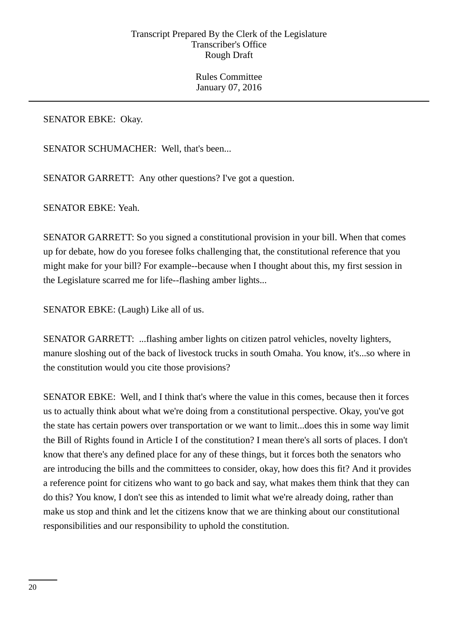SENATOR EBKE: Okay.

SENATOR SCHUMACHER: Well, that's been...

SENATOR GARRETT: Any other questions? I've got a question.

SENATOR EBKE: Yeah.

SENATOR GARRETT: So you signed a constitutional provision in your bill. When that comes up for debate, how do you foresee folks challenging that, the constitutional reference that you might make for your bill? For example--because when I thought about this, my first session in the Legislature scarred me for life--flashing amber lights...

SENATOR EBKE: (Laugh) Like all of us.

SENATOR GARRETT: ...flashing amber lights on citizen patrol vehicles, novelty lighters, manure sloshing out of the back of livestock trucks in south Omaha. You know, it's...so where in the constitution would you cite those provisions?

SENATOR EBKE: Well, and I think that's where the value in this comes, because then it forces us to actually think about what we're doing from a constitutional perspective. Okay, you've got the state has certain powers over transportation or we want to limit...does this in some way limit the Bill of Rights found in Article I of the constitution? I mean there's all sorts of places. I don't know that there's any defined place for any of these things, but it forces both the senators who are introducing the bills and the committees to consider, okay, how does this fit? And it provides a reference point for citizens who want to go back and say, what makes them think that they can do this? You know, I don't see this as intended to limit what we're already doing, rather than make us stop and think and let the citizens know that we are thinking about our constitutional responsibilities and our responsibility to uphold the constitution.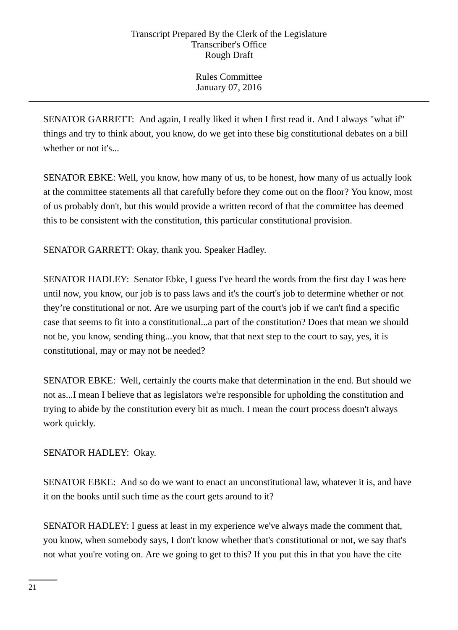SENATOR GARRETT: And again, I really liked it when I first read it. And I always "what if" things and try to think about, you know, do we get into these big constitutional debates on a bill whether or not it's...

SENATOR EBKE: Well, you know, how many of us, to be honest, how many of us actually look at the committee statements all that carefully before they come out on the floor? You know, most of us probably don't, but this would provide a written record of that the committee has deemed this to be consistent with the constitution, this particular constitutional provision.

SENATOR GARRETT: Okay, thank you. Speaker Hadley.

SENATOR HADLEY: Senator Ebke, I guess I've heard the words from the first day I was here until now, you know, our job is to pass laws and it's the court's job to determine whether or not they're constitutional or not. Are we usurping part of the court's job if we can't find a specific case that seems to fit into a constitutional...a part of the constitution? Does that mean we should not be, you know, sending thing...you know, that that next step to the court to say, yes, it is constitutional, may or may not be needed?

SENATOR EBKE: Well, certainly the courts make that determination in the end. But should we not as...I mean I believe that as legislators we're responsible for upholding the constitution and trying to abide by the constitution every bit as much. I mean the court process doesn't always work quickly.

SENATOR HADLEY: Okay.

SENATOR EBKE: And so do we want to enact an unconstitutional law, whatever it is, and have it on the books until such time as the court gets around to it?

SENATOR HADLEY: I guess at least in my experience we've always made the comment that, you know, when somebody says, I don't know whether that's constitutional or not, we say that's not what you're voting on. Are we going to get to this? If you put this in that you have the cite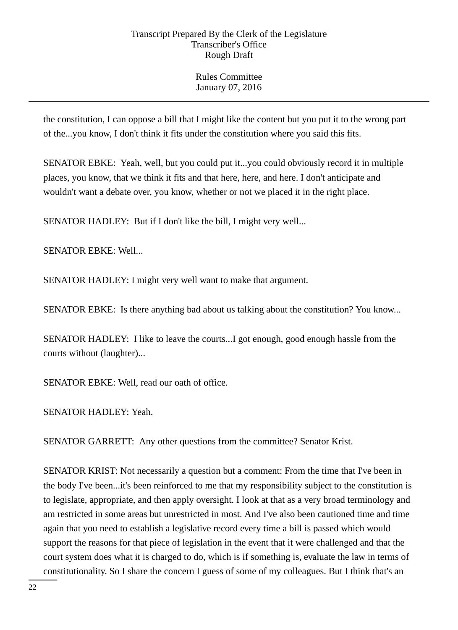Rules Committee January 07, 2016

the constitution, I can oppose a bill that I might like the content but you put it to the wrong part of the...you know, I don't think it fits under the constitution where you said this fits.

SENATOR EBKE: Yeah, well, but you could put it...you could obviously record it in multiple places, you know, that we think it fits and that here, here, and here. I don't anticipate and wouldn't want a debate over, you know, whether or not we placed it in the right place.

SENATOR HADLEY: But if I don't like the bill, I might very well...

SENATOR EBKE: Well...

SENATOR HADLEY: I might very well want to make that argument.

SENATOR EBKE: Is there anything bad about us talking about the constitution? You know...

SENATOR HADLEY: I like to leave the courts...I got enough, good enough hassle from the courts without (laughter)...

SENATOR EBKE: Well, read our oath of office.

SENATOR HADLEY: Yeah.

SENATOR GARRETT: Any other questions from the committee? Senator Krist.

SENATOR KRIST: Not necessarily a question but a comment: From the time that I've been in the body I've been...it's been reinforced to me that my responsibility subject to the constitution is to legislate, appropriate, and then apply oversight. I look at that as a very broad terminology and am restricted in some areas but unrestricted in most. And I've also been cautioned time and time again that you need to establish a legislative record every time a bill is passed which would support the reasons for that piece of legislation in the event that it were challenged and that the court system does what it is charged to do, which is if something is, evaluate the law in terms of constitutionality. So I share the concern I guess of some of my colleagues. But I think that's an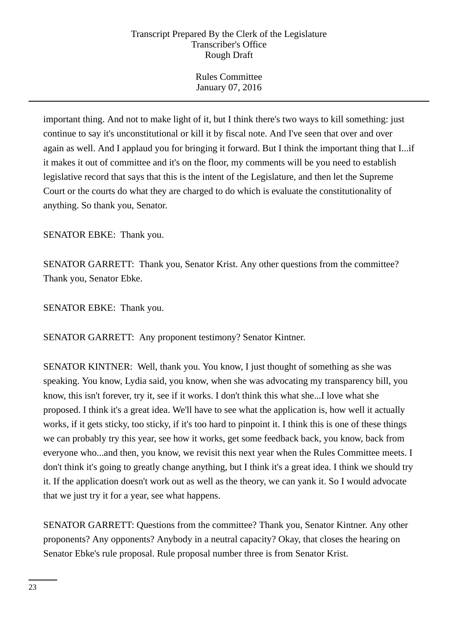Rules Committee January 07, 2016

important thing. And not to make light of it, but I think there's two ways to kill something: just continue to say it's unconstitutional or kill it by fiscal note. And I've seen that over and over again as well. And I applaud you for bringing it forward. But I think the important thing that I...if it makes it out of committee and it's on the floor, my comments will be you need to establish legislative record that says that this is the intent of the Legislature, and then let the Supreme Court or the courts do what they are charged to do which is evaluate the constitutionality of anything. So thank you, Senator.

SENATOR EBKE: Thank you.

SENATOR GARRETT: Thank you, Senator Krist. Any other questions from the committee? Thank you, Senator Ebke.

SENATOR EBKE: Thank you.

SENATOR GARRETT: Any proponent testimony? Senator Kintner.

SENATOR KINTNER: Well, thank you. You know, I just thought of something as she was speaking. You know, Lydia said, you know, when she was advocating my transparency bill, you know, this isn't forever, try it, see if it works. I don't think this what she...I love what she proposed. I think it's a great idea. We'll have to see what the application is, how well it actually works, if it gets sticky, too sticky, if it's too hard to pinpoint it. I think this is one of these things we can probably try this year, see how it works, get some feedback back, you know, back from everyone who...and then, you know, we revisit this next year when the Rules Committee meets. I don't think it's going to greatly change anything, but I think it's a great idea. I think we should try it. If the application doesn't work out as well as the theory, we can yank it. So I would advocate that we just try it for a year, see what happens.

SENATOR GARRETT: Questions from the committee? Thank you, Senator Kintner. Any other proponents? Any opponents? Anybody in a neutral capacity? Okay, that closes the hearing on Senator Ebke's rule proposal. Rule proposal number three is from Senator Krist.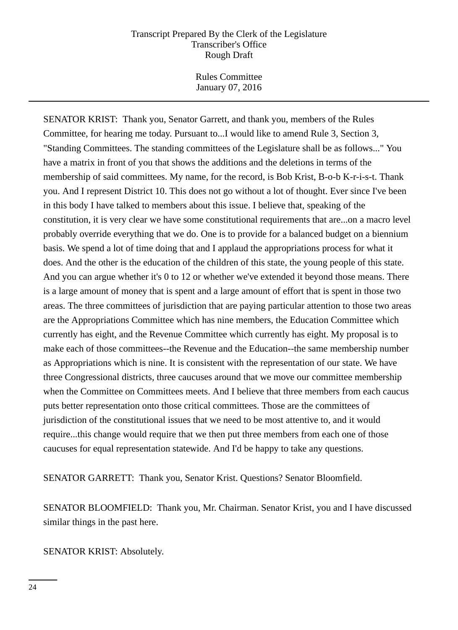Rules Committee January 07, 2016

SENATOR KRIST: Thank you, Senator Garrett, and thank you, members of the Rules Committee, for hearing me today. Pursuant to...I would like to amend Rule 3, Section 3, "Standing Committees. The standing committees of the Legislature shall be as follows..." You have a matrix in front of you that shows the additions and the deletions in terms of the membership of said committees. My name, for the record, is Bob Krist, B-o-b K-r-i-s-t. Thank you. And I represent District 10. This does not go without a lot of thought. Ever since I've been in this body I have talked to members about this issue. I believe that, speaking of the constitution, it is very clear we have some constitutional requirements that are...on a macro level probably override everything that we do. One is to provide for a balanced budget on a biennium basis. We spend a lot of time doing that and I applaud the appropriations process for what it does. And the other is the education of the children of this state, the young people of this state. And you can argue whether it's 0 to 12 or whether we've extended it beyond those means. There is a large amount of money that is spent and a large amount of effort that is spent in those two areas. The three committees of jurisdiction that are paying particular attention to those two areas are the Appropriations Committee which has nine members, the Education Committee which currently has eight, and the Revenue Committee which currently has eight. My proposal is to make each of those committees--the Revenue and the Education--the same membership number as Appropriations which is nine. It is consistent with the representation of our state. We have three Congressional districts, three caucuses around that we move our committee membership when the Committee on Committees meets. And I believe that three members from each caucus puts better representation onto those critical committees. Those are the committees of jurisdiction of the constitutional issues that we need to be most attentive to, and it would require...this change would require that we then put three members from each one of those caucuses for equal representation statewide. And I'd be happy to take any questions.

SENATOR GARRETT: Thank you, Senator Krist. Questions? Senator Bloomfield.

SENATOR BLOOMFIELD: Thank you, Mr. Chairman. Senator Krist, you and I have discussed similar things in the past here.

SENATOR KRIST: Absolutely.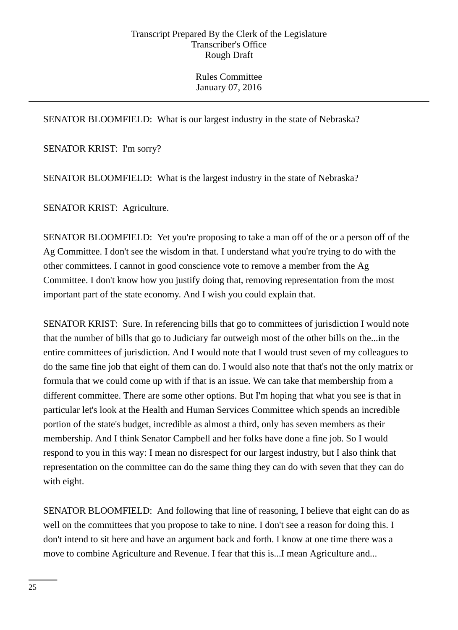# SENATOR BLOOMFIELD: What is our largest industry in the state of Nebraska?

SENATOR KRIST: I'm sorry?

SENATOR BLOOMFIELD: What is the largest industry in the state of Nebraska?

SENATOR KRIST: Agriculture.

SENATOR BLOOMFIELD: Yet you're proposing to take a man off of the or a person off of the Ag Committee. I don't see the wisdom in that. I understand what you're trying to do with the other committees. I cannot in good conscience vote to remove a member from the Ag Committee. I don't know how you justify doing that, removing representation from the most important part of the state economy. And I wish you could explain that.

SENATOR KRIST: Sure. In referencing bills that go to committees of jurisdiction I would note that the number of bills that go to Judiciary far outweigh most of the other bills on the...in the entire committees of jurisdiction. And I would note that I would trust seven of my colleagues to do the same fine job that eight of them can do. I would also note that that's not the only matrix or formula that we could come up with if that is an issue. We can take that membership from a different committee. There are some other options. But I'm hoping that what you see is that in particular let's look at the Health and Human Services Committee which spends an incredible portion of the state's budget, incredible as almost a third, only has seven members as their membership. And I think Senator Campbell and her folks have done a fine job. So I would respond to you in this way: I mean no disrespect for our largest industry, but I also think that representation on the committee can do the same thing they can do with seven that they can do with eight.

SENATOR BLOOMFIELD: And following that line of reasoning, I believe that eight can do as well on the committees that you propose to take to nine. I don't see a reason for doing this. I don't intend to sit here and have an argument back and forth. I know at one time there was a move to combine Agriculture and Revenue. I fear that this is...I mean Agriculture and...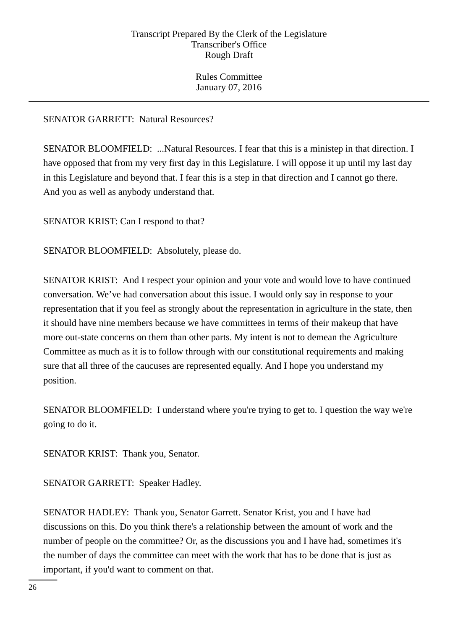# SENATOR GARRETT: Natural Resources?

SENATOR BLOOMFIELD: ...Natural Resources. I fear that this is a ministep in that direction. I have opposed that from my very first day in this Legislature. I will oppose it up until my last day in this Legislature and beyond that. I fear this is a step in that direction and I cannot go there. And you as well as anybody understand that.

SENATOR KRIST: Can I respond to that?

SENATOR BLOOMFIELD: Absolutely, please do.

SENATOR KRIST: And I respect your opinion and your vote and would love to have continued conversation. We've had conversation about this issue. I would only say in response to your representation that if you feel as strongly about the representation in agriculture in the state, then it should have nine members because we have committees in terms of their makeup that have more out-state concerns on them than other parts. My intent is not to demean the Agriculture Committee as much as it is to follow through with our constitutional requirements and making sure that all three of the caucuses are represented equally. And I hope you understand my position.

SENATOR BLOOMFIELD: I understand where you're trying to get to. I question the way we're going to do it.

SENATOR KRIST: Thank you, Senator.

SENATOR GARRETT: Speaker Hadley.

SENATOR HADLEY: Thank you, Senator Garrett. Senator Krist, you and I have had discussions on this. Do you think there's a relationship between the amount of work and the number of people on the committee? Or, as the discussions you and I have had, sometimes it's the number of days the committee can meet with the work that has to be done that is just as important, if you'd want to comment on that.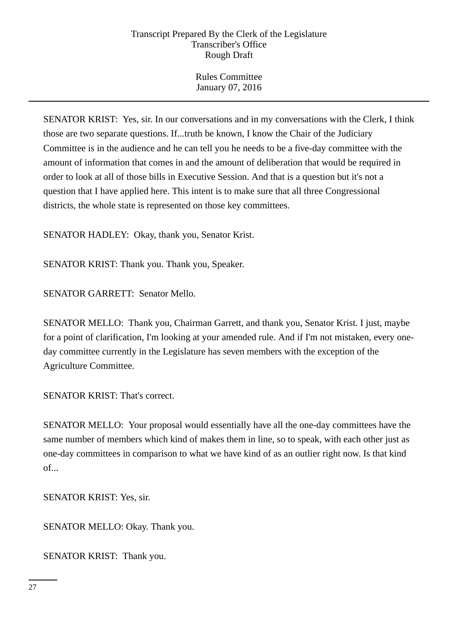Rules Committee January 07, 2016

SENATOR KRIST: Yes, sir. In our conversations and in my conversations with the Clerk, I think those are two separate questions. If...truth be known, I know the Chair of the Judiciary Committee is in the audience and he can tell you he needs to be a five-day committee with the amount of information that comes in and the amount of deliberation that would be required in order to look at all of those bills in Executive Session. And that is a question but it's not a question that I have applied here. This intent is to make sure that all three Congressional districts, the whole state is represented on those key committees.

SENATOR HADLEY: Okay, thank you, Senator Krist.

SENATOR KRIST: Thank you. Thank you, Speaker.

SENATOR GARRETT: Senator Mello.

SENATOR MELLO: Thank you, Chairman Garrett, and thank you, Senator Krist. I just, maybe for a point of clarification, I'm looking at your amended rule. And if I'm not mistaken, every oneday committee currently in the Legislature has seven members with the exception of the Agriculture Committee.

SENATOR KRIST: That's correct.

SENATOR MELLO: Your proposal would essentially have all the one-day committees have the same number of members which kind of makes them in line, so to speak, with each other just as one-day committees in comparison to what we have kind of as an outlier right now. Is that kind of...

SENATOR KRIST: Yes, sir.

SENATOR MELLO: Okay. Thank you.

SENATOR KRIST: Thank you.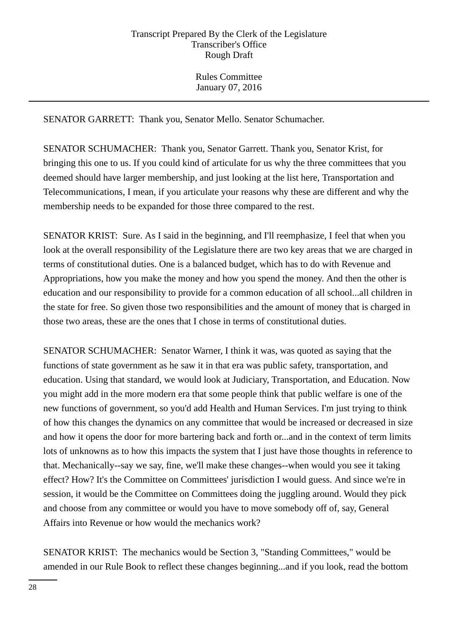SENATOR GARRETT: Thank you, Senator Mello. Senator Schumacher.

SENATOR SCHUMACHER: Thank you, Senator Garrett. Thank you, Senator Krist, for bringing this one to us. If you could kind of articulate for us why the three committees that you deemed should have larger membership, and just looking at the list here, Transportation and Telecommunications, I mean, if you articulate your reasons why these are different and why the membership needs to be expanded for those three compared to the rest.

SENATOR KRIST: Sure. As I said in the beginning, and I'll reemphasize, I feel that when you look at the overall responsibility of the Legislature there are two key areas that we are charged in terms of constitutional duties. One is a balanced budget, which has to do with Revenue and Appropriations, how you make the money and how you spend the money. And then the other is education and our responsibility to provide for a common education of all school...all children in the state for free. So given those two responsibilities and the amount of money that is charged in those two areas, these are the ones that I chose in terms of constitutional duties.

SENATOR SCHUMACHER: Senator Warner, I think it was, was quoted as saying that the functions of state government as he saw it in that era was public safety, transportation, and education. Using that standard, we would look at Judiciary, Transportation, and Education. Now you might add in the more modern era that some people think that public welfare is one of the new functions of government, so you'd add Health and Human Services. I'm just trying to think of how this changes the dynamics on any committee that would be increased or decreased in size and how it opens the door for more bartering back and forth or...and in the context of term limits lots of unknowns as to how this impacts the system that I just have those thoughts in reference to that. Mechanically--say we say, fine, we'll make these changes--when would you see it taking effect? How? It's the Committee on Committees' jurisdiction I would guess. And since we're in session, it would be the Committee on Committees doing the juggling around. Would they pick and choose from any committee or would you have to move somebody off of, say, General Affairs into Revenue or how would the mechanics work?

SENATOR KRIST: The mechanics would be Section 3, "Standing Committees," would be amended in our Rule Book to reflect these changes beginning...and if you look, read the bottom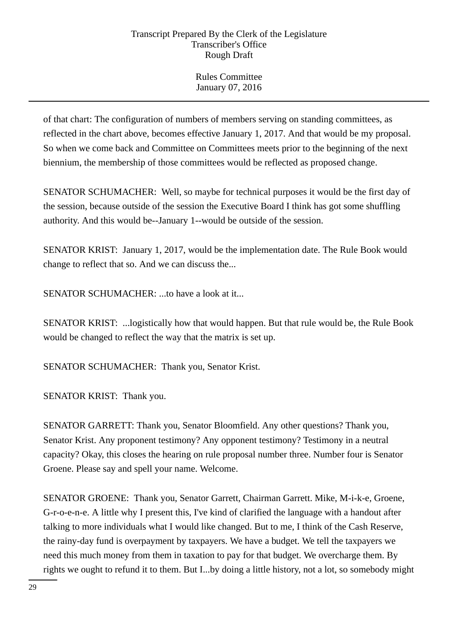Rules Committee January 07, 2016

of that chart: The configuration of numbers of members serving on standing committees, as reflected in the chart above, becomes effective January 1, 2017. And that would be my proposal. So when we come back and Committee on Committees meets prior to the beginning of the next biennium, the membership of those committees would be reflected as proposed change.

SENATOR SCHUMACHER: Well, so maybe for technical purposes it would be the first day of the session, because outside of the session the Executive Board I think has got some shuffling authority. And this would be--January 1--would be outside of the session.

SENATOR KRIST: January 1, 2017, would be the implementation date. The Rule Book would change to reflect that so. And we can discuss the...

SENATOR SCHUMACHER: ...to have a look at it...

SENATOR KRIST: ...logistically how that would happen. But that rule would be, the Rule Book would be changed to reflect the way that the matrix is set up.

SENATOR SCHUMACHER: Thank you, Senator Krist.

SENATOR KRIST: Thank you.

SENATOR GARRETT: Thank you, Senator Bloomfield. Any other questions? Thank you, Senator Krist. Any proponent testimony? Any opponent testimony? Testimony in a neutral capacity? Okay, this closes the hearing on rule proposal number three. Number four is Senator Groene. Please say and spell your name. Welcome.

SENATOR GROENE: Thank you, Senator Garrett, Chairman Garrett. Mike, M-i-k-e, Groene, G-r-o-e-n-e. A little why I present this, I've kind of clarified the language with a handout after talking to more individuals what I would like changed. But to me, I think of the Cash Reserve, the rainy-day fund is overpayment by taxpayers. We have a budget. We tell the taxpayers we need this much money from them in taxation to pay for that budget. We overcharge them. By rights we ought to refund it to them. But I...by doing a little history, not a lot, so somebody might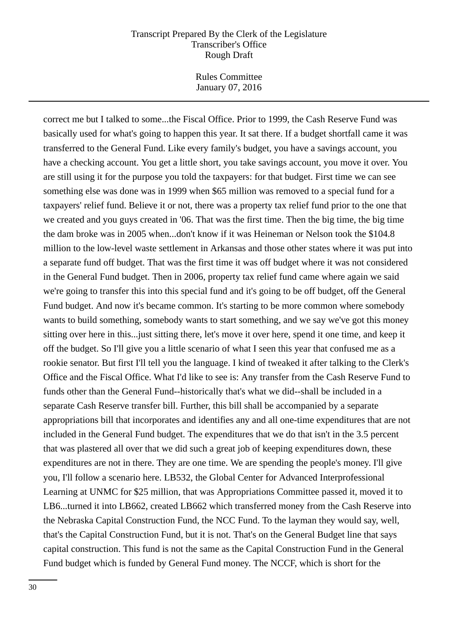Rules Committee January 07, 2016

correct me but I talked to some...the Fiscal Office. Prior to 1999, the Cash Reserve Fund was basically used for what's going to happen this year. It sat there. If a budget shortfall came it was transferred to the General Fund. Like every family's budget, you have a savings account, you have a checking account. You get a little short, you take savings account, you move it over. You are still using it for the purpose you told the taxpayers: for that budget. First time we can see something else was done was in 1999 when \$65 million was removed to a special fund for a taxpayers' relief fund. Believe it or not, there was a property tax relief fund prior to the one that we created and you guys created in '06. That was the first time. Then the big time, the big time the dam broke was in 2005 when...don't know if it was Heineman or Nelson took the \$104.8 million to the low-level waste settlement in Arkansas and those other states where it was put into a separate fund off budget. That was the first time it was off budget where it was not considered in the General Fund budget. Then in 2006, property tax relief fund came where again we said we're going to transfer this into this special fund and it's going to be off budget, off the General Fund budget. And now it's became common. It's starting to be more common where somebody wants to build something, somebody wants to start something, and we say we've got this money sitting over here in this...just sitting there, let's move it over here, spend it one time, and keep it off the budget. So I'll give you a little scenario of what I seen this year that confused me as a rookie senator. But first I'll tell you the language. I kind of tweaked it after talking to the Clerk's Office and the Fiscal Office. What I'd like to see is: Any transfer from the Cash Reserve Fund to funds other than the General Fund--historically that's what we did--shall be included in a separate Cash Reserve transfer bill. Further, this bill shall be accompanied by a separate appropriations bill that incorporates and identifies any and all one-time expenditures that are not included in the General Fund budget. The expenditures that we do that isn't in the 3.5 percent that was plastered all over that we did such a great job of keeping expenditures down, these expenditures are not in there. They are one time. We are spending the people's money. I'll give you, I'll follow a scenario here. LB532, the Global Center for Advanced Interprofessional Learning at UNMC for \$25 million, that was Appropriations Committee passed it, moved it to LB6...turned it into LB662, created LB662 which transferred money from the Cash Reserve into the Nebraska Capital Construction Fund, the NCC Fund. To the layman they would say, well, that's the Capital Construction Fund, but it is not. That's on the General Budget line that says capital construction. This fund is not the same as the Capital Construction Fund in the General Fund budget which is funded by General Fund money. The NCCF, which is short for the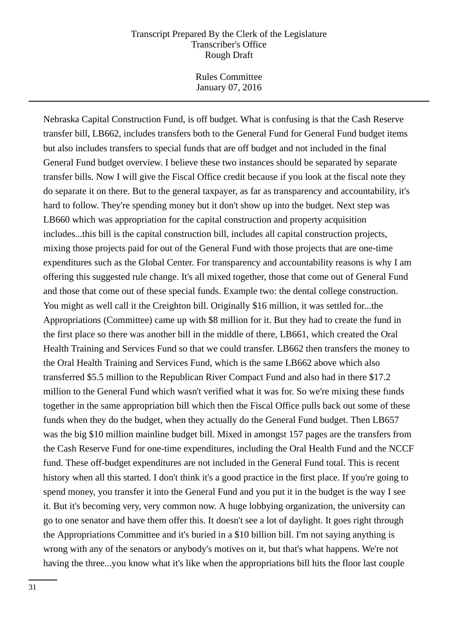Rules Committee January 07, 2016

Nebraska Capital Construction Fund, is off budget. What is confusing is that the Cash Reserve transfer bill, LB662, includes transfers both to the General Fund for General Fund budget items but also includes transfers to special funds that are off budget and not included in the final General Fund budget overview. I believe these two instances should be separated by separate transfer bills. Now I will give the Fiscal Office credit because if you look at the fiscal note they do separate it on there. But to the general taxpayer, as far as transparency and accountability, it's hard to follow. They're spending money but it don't show up into the budget. Next step was LB660 which was appropriation for the capital construction and property acquisition includes...this bill is the capital construction bill, includes all capital construction projects, mixing those projects paid for out of the General Fund with those projects that are one-time expenditures such as the Global Center. For transparency and accountability reasons is why I am offering this suggested rule change. It's all mixed together, those that come out of General Fund and those that come out of these special funds. Example two: the dental college construction. You might as well call it the Creighton bill. Originally \$16 million, it was settled for...the Appropriations (Committee) came up with \$8 million for it. But they had to create the fund in the first place so there was another bill in the middle of there, LB661, which created the Oral Health Training and Services Fund so that we could transfer. LB662 then transfers the money to the Oral Health Training and Services Fund, which is the same LB662 above which also transferred \$5.5 million to the Republican River Compact Fund and also had in there \$17.2 million to the General Fund which wasn't verified what it was for. So we're mixing these funds together in the same appropriation bill which then the Fiscal Office pulls back out some of these funds when they do the budget, when they actually do the General Fund budget. Then LB657 was the big \$10 million mainline budget bill. Mixed in amongst 157 pages are the transfers from the Cash Reserve Fund for one-time expenditures, including the Oral Health Fund and the NCCF fund. These off-budget expenditures are not included in the General Fund total. This is recent history when all this started. I don't think it's a good practice in the first place. If you're going to spend money, you transfer it into the General Fund and you put it in the budget is the way I see it. But it's becoming very, very common now. A huge lobbying organization, the university can go to one senator and have them offer this. It doesn't see a lot of daylight. It goes right through the Appropriations Committee and it's buried in a \$10 billion bill. I'm not saying anything is wrong with any of the senators or anybody's motives on it, but that's what happens. We're not having the three...you know what it's like when the appropriations bill hits the floor last couple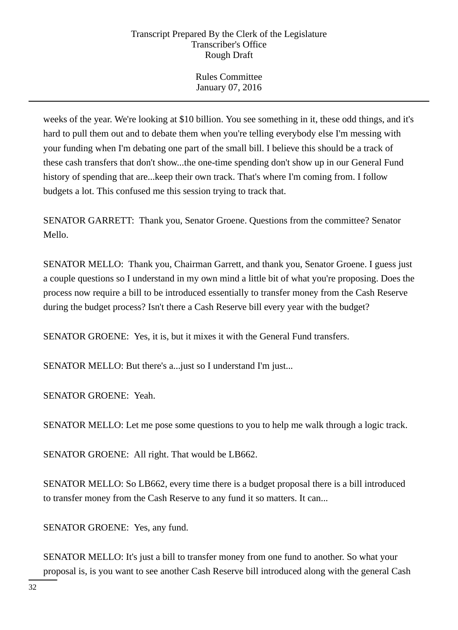Rules Committee January 07, 2016

weeks of the year. We're looking at \$10 billion. You see something in it, these odd things, and it's hard to pull them out and to debate them when you're telling everybody else I'm messing with your funding when I'm debating one part of the small bill. I believe this should be a track of these cash transfers that don't show...the one-time spending don't show up in our General Fund history of spending that are...keep their own track. That's where I'm coming from. I follow budgets a lot. This confused me this session trying to track that.

SENATOR GARRETT: Thank you, Senator Groene. Questions from the committee? Senator Mello.

SENATOR MELLO: Thank you, Chairman Garrett, and thank you, Senator Groene. I guess just a couple questions so I understand in my own mind a little bit of what you're proposing. Does the process now require a bill to be introduced essentially to transfer money from the Cash Reserve during the budget process? Isn't there a Cash Reserve bill every year with the budget?

SENATOR GROENE: Yes, it is, but it mixes it with the General Fund transfers.

SENATOR MELLO: But there's a...just so I understand I'm just...

SENATOR GROENE: Yeah.

SENATOR MELLO: Let me pose some questions to you to help me walk through a logic track.

SENATOR GROENE: All right. That would be LB662.

SENATOR MELLO: So LB662, every time there is a budget proposal there is a bill introduced to transfer money from the Cash Reserve to any fund it so matters. It can...

SENATOR GROENE: Yes, any fund.

SENATOR MELLO: It's just a bill to transfer money from one fund to another. So what your proposal is, is you want to see another Cash Reserve bill introduced along with the general Cash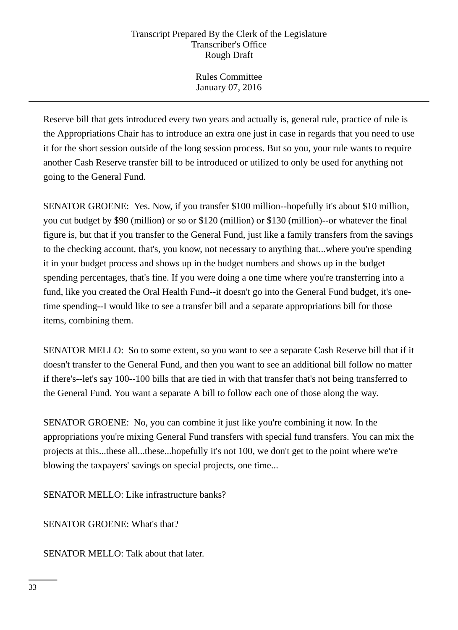Rules Committee January 07, 2016

Reserve bill that gets introduced every two years and actually is, general rule, practice of rule is the Appropriations Chair has to introduce an extra one just in case in regards that you need to use it for the short session outside of the long session process. But so you, your rule wants to require another Cash Reserve transfer bill to be introduced or utilized to only be used for anything not going to the General Fund.

SENATOR GROENE: Yes. Now, if you transfer \$100 million--hopefully it's about \$10 million, you cut budget by \$90 (million) or so or \$120 (million) or \$130 (million)--or whatever the final figure is, but that if you transfer to the General Fund, just like a family transfers from the savings to the checking account, that's, you know, not necessary to anything that...where you're spending it in your budget process and shows up in the budget numbers and shows up in the budget spending percentages, that's fine. If you were doing a one time where you're transferring into a fund, like you created the Oral Health Fund--it doesn't go into the General Fund budget, it's onetime spending--I would like to see a transfer bill and a separate appropriations bill for those items, combining them.

SENATOR MELLO: So to some extent, so you want to see a separate Cash Reserve bill that if it doesn't transfer to the General Fund, and then you want to see an additional bill follow no matter if there's--let's say 100--100 bills that are tied in with that transfer that's not being transferred to the General Fund. You want a separate A bill to follow each one of those along the way.

SENATOR GROENE: No, you can combine it just like you're combining it now. In the appropriations you're mixing General Fund transfers with special fund transfers. You can mix the projects at this...these all...these...hopefully it's not 100, we don't get to the point where we're blowing the taxpayers' savings on special projects, one time...

SENATOR MELLO: Like infrastructure banks?

SENATOR GROENE: What's that?

SENATOR MELLO: Talk about that later.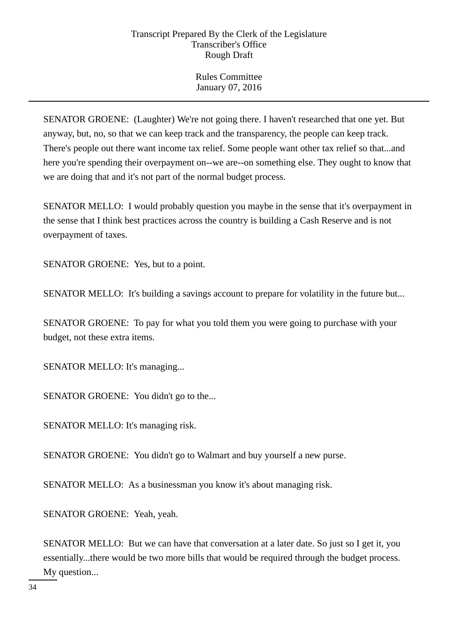Rules Committee January 07, 2016

SENATOR GROENE: (Laughter) We're not going there. I haven't researched that one yet. But anyway, but, no, so that we can keep track and the transparency, the people can keep track. There's people out there want income tax relief. Some people want other tax relief so that...and here you're spending their overpayment on--we are--on something else. They ought to know that we are doing that and it's not part of the normal budget process.

SENATOR MELLO: I would probably question you maybe in the sense that it's overpayment in the sense that I think best practices across the country is building a Cash Reserve and is not overpayment of taxes.

SENATOR GROENE: Yes, but to a point.

SENATOR MELLO: It's building a savings account to prepare for volatility in the future but...

SENATOR GROENE: To pay for what you told them you were going to purchase with your budget, not these extra items.

SENATOR MELLO: It's managing...

SENATOR GROENE: You didn't go to the...

SENATOR MELLO: It's managing risk.

SENATOR GROENE: You didn't go to Walmart and buy yourself a new purse.

SENATOR MELLO: As a businessman you know it's about managing risk.

SENATOR GROENE: Yeah, yeah.

SENATOR MELLO: But we can have that conversation at a later date. So just so I get it, you essentially...there would be two more bills that would be required through the budget process. My question...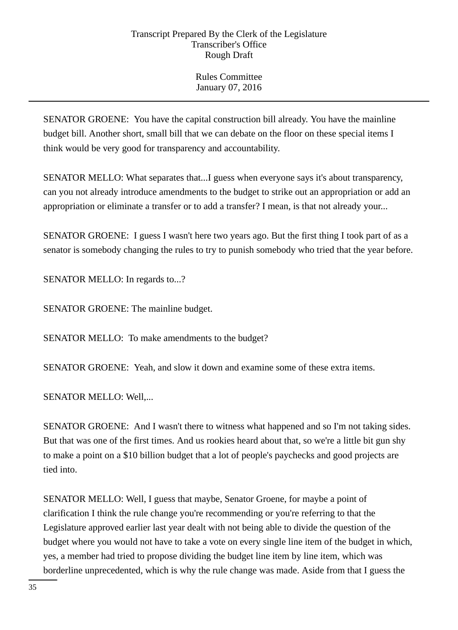Rules Committee January 07, 2016

SENATOR GROENE: You have the capital construction bill already. You have the mainline budget bill. Another short, small bill that we can debate on the floor on these special items I think would be very good for transparency and accountability.

SENATOR MELLO: What separates that...I guess when everyone says it's about transparency, can you not already introduce amendments to the budget to strike out an appropriation or add an appropriation or eliminate a transfer or to add a transfer? I mean, is that not already your...

SENATOR GROENE: I guess I wasn't here two years ago. But the first thing I took part of as a senator is somebody changing the rules to try to punish somebody who tried that the year before.

SENATOR MELLO: In regards to...?

SENATOR GROENE: The mainline budget.

SENATOR MELLO: To make amendments to the budget?

SENATOR GROENE: Yeah, and slow it down and examine some of these extra items.

SENATOR MELLO: Well,...

SENATOR GROENE: And I wasn't there to witness what happened and so I'm not taking sides. But that was one of the first times. And us rookies heard about that, so we're a little bit gun shy to make a point on a \$10 billion budget that a lot of people's paychecks and good projects are tied into.

SENATOR MELLO: Well, I guess that maybe, Senator Groene, for maybe a point of clarification I think the rule change you're recommending or you're referring to that the Legislature approved earlier last year dealt with not being able to divide the question of the budget where you would not have to take a vote on every single line item of the budget in which, yes, a member had tried to propose dividing the budget line item by line item, which was borderline unprecedented, which is why the rule change was made. Aside from that I guess the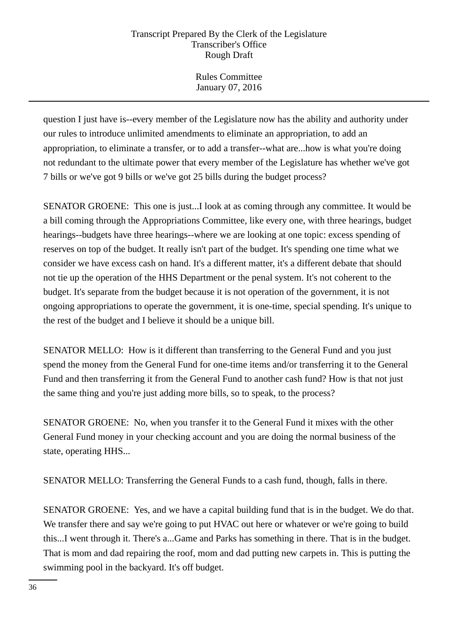Rules Committee January 07, 2016

question I just have is--every member of the Legislature now has the ability and authority under our rules to introduce unlimited amendments to eliminate an appropriation, to add an appropriation, to eliminate a transfer, or to add a transfer--what are...how is what you're doing not redundant to the ultimate power that every member of the Legislature has whether we've got 7 bills or we've got 9 bills or we've got 25 bills during the budget process?

SENATOR GROENE: This one is just...I look at as coming through any committee. It would be a bill coming through the Appropriations Committee, like every one, with three hearings, budget hearings--budgets have three hearings--where we are looking at one topic: excess spending of reserves on top of the budget. It really isn't part of the budget. It's spending one time what we consider we have excess cash on hand. It's a different matter, it's a different debate that should not tie up the operation of the HHS Department or the penal system. It's not coherent to the budget. It's separate from the budget because it is not operation of the government, it is not ongoing appropriations to operate the government, it is one-time, special spending. It's unique to the rest of the budget and I believe it should be a unique bill.

SENATOR MELLO: How is it different than transferring to the General Fund and you just spend the money from the General Fund for one-time items and/or transferring it to the General Fund and then transferring it from the General Fund to another cash fund? How is that not just the same thing and you're just adding more bills, so to speak, to the process?

SENATOR GROENE: No, when you transfer it to the General Fund it mixes with the other General Fund money in your checking account and you are doing the normal business of the state, operating HHS...

SENATOR MELLO: Transferring the General Funds to a cash fund, though, falls in there.

SENATOR GROENE: Yes, and we have a capital building fund that is in the budget. We do that. We transfer there and say we're going to put HVAC out here or whatever or we're going to build this...I went through it. There's a...Game and Parks has something in there. That is in the budget. That is mom and dad repairing the roof, mom and dad putting new carpets in. This is putting the swimming pool in the backyard. It's off budget.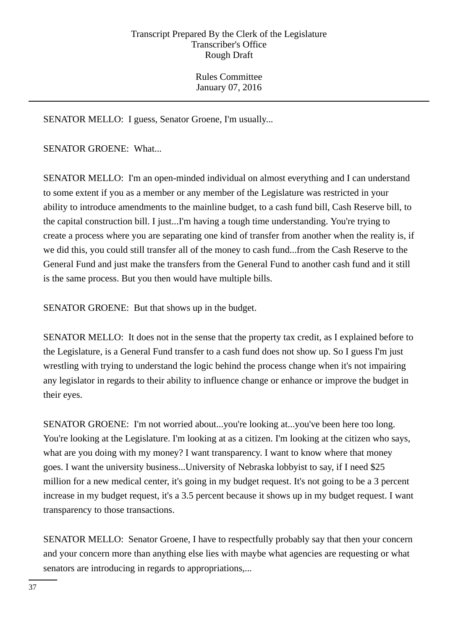Rules Committee January 07, 2016

SENATOR MELLO: I guess, Senator Groene, I'm usually...

SENATOR GROENE: What...

SENATOR MELLO: I'm an open-minded individual on almost everything and I can understand to some extent if you as a member or any member of the Legislature was restricted in your ability to introduce amendments to the mainline budget, to a cash fund bill, Cash Reserve bill, to the capital construction bill. I just...I'm having a tough time understanding. You're trying to create a process where you are separating one kind of transfer from another when the reality is, if we did this, you could still transfer all of the money to cash fund...from the Cash Reserve to the General Fund and just make the transfers from the General Fund to another cash fund and it still is the same process. But you then would have multiple bills.

SENATOR GROENE: But that shows up in the budget.

SENATOR MELLO: It does not in the sense that the property tax credit, as I explained before to the Legislature, is a General Fund transfer to a cash fund does not show up. So I guess I'm just wrestling with trying to understand the logic behind the process change when it's not impairing any legislator in regards to their ability to influence change or enhance or improve the budget in their eyes.

SENATOR GROENE: I'm not worried about...you're looking at...you've been here too long. You're looking at the Legislature. I'm looking at as a citizen. I'm looking at the citizen who says, what are you doing with my money? I want transparency. I want to know where that money goes. I want the university business...University of Nebraska lobbyist to say, if I need \$25 million for a new medical center, it's going in my budget request. It's not going to be a 3 percent increase in my budget request, it's a 3.5 percent because it shows up in my budget request. I want transparency to those transactions.

SENATOR MELLO: Senator Groene, I have to respectfully probably say that then your concern and your concern more than anything else lies with maybe what agencies are requesting or what senators are introducing in regards to appropriations,...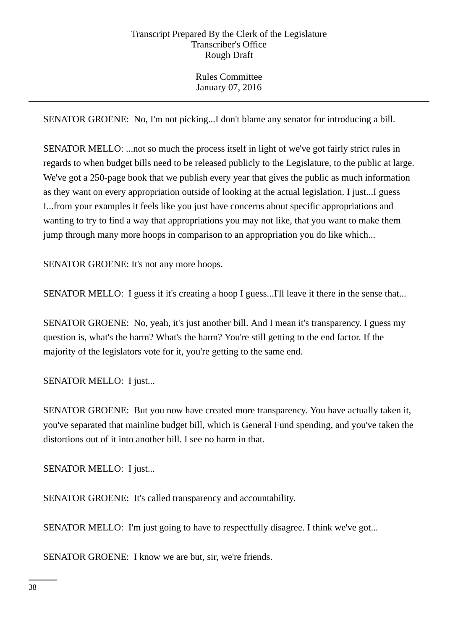Rules Committee January 07, 2016

SENATOR GROENE: No, I'm not picking...I don't blame any senator for introducing a bill.

SENATOR MELLO: ...not so much the process itself in light of we've got fairly strict rules in regards to when budget bills need to be released publicly to the Legislature, to the public at large. We've got a 250-page book that we publish every year that gives the public as much information as they want on every appropriation outside of looking at the actual legislation. I just...I guess I...from your examples it feels like you just have concerns about specific appropriations and wanting to try to find a way that appropriations you may not like, that you want to make them jump through many more hoops in comparison to an appropriation you do like which...

SENATOR GROENE: It's not any more hoops.

SENATOR MELLO: I guess if it's creating a hoop I guess...I'll leave it there in the sense that...

SENATOR GROENE: No, yeah, it's just another bill. And I mean it's transparency. I guess my question is, what's the harm? What's the harm? You're still getting to the end factor. If the majority of the legislators vote for it, you're getting to the same end.

SENATOR MELLO: I just...

SENATOR GROENE: But you now have created more transparency. You have actually taken it, you've separated that mainline budget bill, which is General Fund spending, and you've taken the distortions out of it into another bill. I see no harm in that.

SENATOR MELLO: I just...

SENATOR GROENE: It's called transparency and accountability.

SENATOR MELLO: I'm just going to have to respectfully disagree. I think we've got...

SENATOR GROENE: I know we are but, sir, we're friends.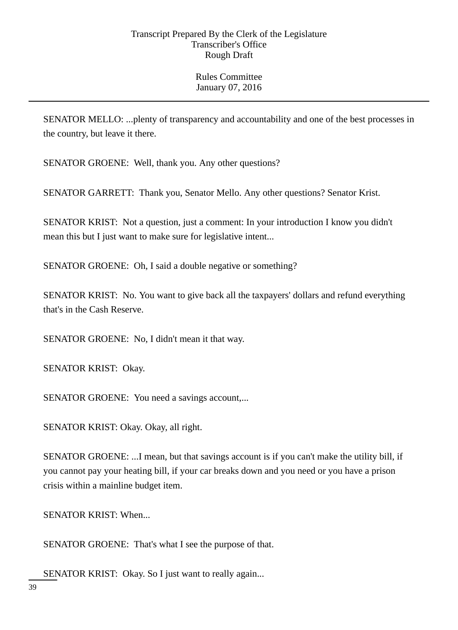SENATOR MELLO: ...plenty of transparency and accountability and one of the best processes in the country, but leave it there.

SENATOR GROENE: Well, thank you. Any other questions?

SENATOR GARRETT: Thank you, Senator Mello. Any other questions? Senator Krist.

SENATOR KRIST: Not a question, just a comment: In your introduction I know you didn't mean this but I just want to make sure for legislative intent...

SENATOR GROENE: Oh, I said a double negative or something?

SENATOR KRIST: No. You want to give back all the taxpayers' dollars and refund everything that's in the Cash Reserve.

SENATOR GROENE: No, I didn't mean it that way.

SENATOR KRIST: Okay.

SENATOR GROENE: You need a savings account,...

SENATOR KRIST: Okay. Okay, all right.

SENATOR GROENE: ...I mean, but that savings account is if you can't make the utility bill, if you cannot pay your heating bill, if your car breaks down and you need or you have a prison crisis within a mainline budget item.

SENATOR KRIST: When...

SENATOR GROENE: That's what I see the purpose of that.

SENATOR KRIST: Okay. So I just want to really again...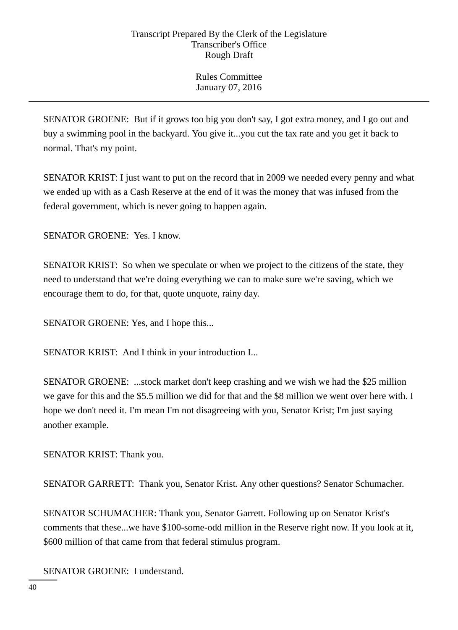Rules Committee January 07, 2016

SENATOR GROENE: But if it grows too big you don't say, I got extra money, and I go out and buy a swimming pool in the backyard. You give it...you cut the tax rate and you get it back to normal. That's my point.

SENATOR KRIST: I just want to put on the record that in 2009 we needed every penny and what we ended up with as a Cash Reserve at the end of it was the money that was infused from the federal government, which is never going to happen again.

SENATOR GROENE: Yes. I know.

SENATOR KRIST: So when we speculate or when we project to the citizens of the state, they need to understand that we're doing everything we can to make sure we're saving, which we encourage them to do, for that, quote unquote, rainy day.

SENATOR GROENE: Yes, and I hope this...

SENATOR KRIST: And I think in your introduction I...

SENATOR GROENE: ...stock market don't keep crashing and we wish we had the \$25 million we gave for this and the \$5.5 million we did for that and the \$8 million we went over here with. I hope we don't need it. I'm mean I'm not disagreeing with you, Senator Krist; I'm just saying another example.

SENATOR KRIST: Thank you.

SENATOR GARRETT: Thank you, Senator Krist. Any other questions? Senator Schumacher.

SENATOR SCHUMACHER: Thank you, Senator Garrett. Following up on Senator Krist's comments that these...we have \$100-some-odd million in the Reserve right now. If you look at it, \$600 million of that came from that federal stimulus program.

SENATOR GROENE: I understand.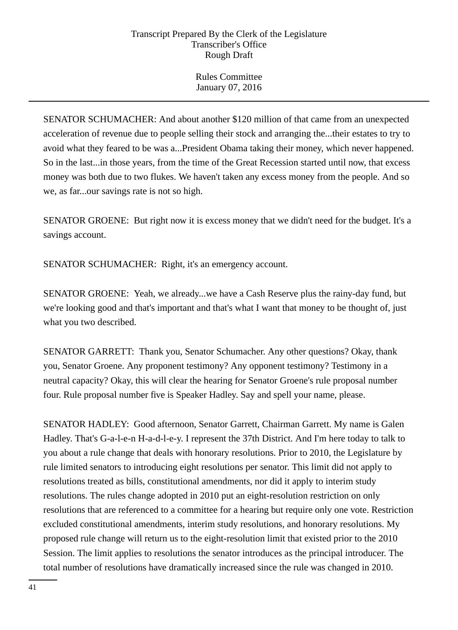Rules Committee January 07, 2016

SENATOR SCHUMACHER: And about another \$120 million of that came from an unexpected acceleration of revenue due to people selling their stock and arranging the...their estates to try to avoid what they feared to be was a...President Obama taking their money, which never happened. So in the last...in those years, from the time of the Great Recession started until now, that excess money was both due to two flukes. We haven't taken any excess money from the people. And so we, as far...our savings rate is not so high.

SENATOR GROENE: But right now it is excess money that we didn't need for the budget. It's a savings account.

SENATOR SCHUMACHER: Right, it's an emergency account.

SENATOR GROENE: Yeah, we already...we have a Cash Reserve plus the rainy-day fund, but we're looking good and that's important and that's what I want that money to be thought of, just what you two described.

SENATOR GARRETT: Thank you, Senator Schumacher. Any other questions? Okay, thank you, Senator Groene. Any proponent testimony? Any opponent testimony? Testimony in a neutral capacity? Okay, this will clear the hearing for Senator Groene's rule proposal number four. Rule proposal number five is Speaker Hadley. Say and spell your name, please.

SENATOR HADLEY: Good afternoon, Senator Garrett, Chairman Garrett. My name is Galen Hadley. That's G-a-l-e-n H-a-d-l-e-y. I represent the 37th District. And I'm here today to talk to you about a rule change that deals with honorary resolutions. Prior to 2010, the Legislature by rule limited senators to introducing eight resolutions per senator. This limit did not apply to resolutions treated as bills, constitutional amendments, nor did it apply to interim study resolutions. The rules change adopted in 2010 put an eight-resolution restriction on only resolutions that are referenced to a committee for a hearing but require only one vote. Restriction excluded constitutional amendments, interim study resolutions, and honorary resolutions. My proposed rule change will return us to the eight-resolution limit that existed prior to the 2010 Session. The limit applies to resolutions the senator introduces as the principal introducer. The total number of resolutions have dramatically increased since the rule was changed in 2010.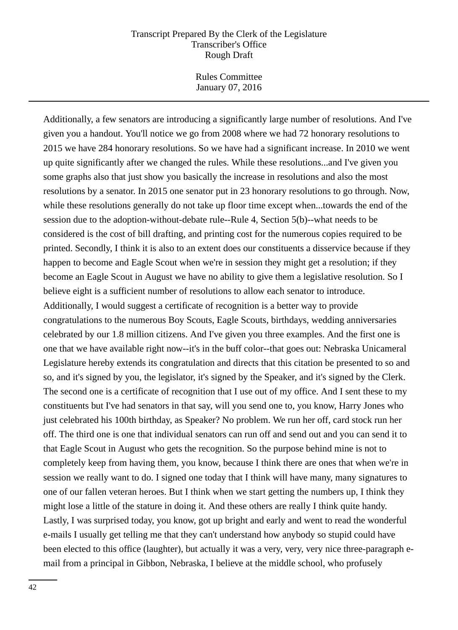Rules Committee January 07, 2016

Additionally, a few senators are introducing a significantly large number of resolutions. And I've given you a handout. You'll notice we go from 2008 where we had 72 honorary resolutions to 2015 we have 284 honorary resolutions. So we have had a significant increase. In 2010 we went up quite significantly after we changed the rules. While these resolutions...and I've given you some graphs also that just show you basically the increase in resolutions and also the most resolutions by a senator. In 2015 one senator put in 23 honorary resolutions to go through. Now, while these resolutions generally do not take up floor time except when...towards the end of the session due to the adoption-without-debate rule--Rule 4, Section 5(b)--what needs to be considered is the cost of bill drafting, and printing cost for the numerous copies required to be printed. Secondly, I think it is also to an extent does our constituents a disservice because if they happen to become and Eagle Scout when we're in session they might get a resolution; if they become an Eagle Scout in August we have no ability to give them a legislative resolution. So I believe eight is a sufficient number of resolutions to allow each senator to introduce. Additionally, I would suggest a certificate of recognition is a better way to provide congratulations to the numerous Boy Scouts, Eagle Scouts, birthdays, wedding anniversaries celebrated by our 1.8 million citizens. And I've given you three examples. And the first one is one that we have available right now--it's in the buff color--that goes out: Nebraska Unicameral Legislature hereby extends its congratulation and directs that this citation be presented to so and so, and it's signed by you, the legislator, it's signed by the Speaker, and it's signed by the Clerk. The second one is a certificate of recognition that I use out of my office. And I sent these to my constituents but I've had senators in that say, will you send one to, you know, Harry Jones who just celebrated his 100th birthday, as Speaker? No problem. We run her off, card stock run her off. The third one is one that individual senators can run off and send out and you can send it to that Eagle Scout in August who gets the recognition. So the purpose behind mine is not to completely keep from having them, you know, because I think there are ones that when we're in session we really want to do. I signed one today that I think will have many, many signatures to one of our fallen veteran heroes. But I think when we start getting the numbers up, I think they might lose a little of the stature in doing it. And these others are really I think quite handy. Lastly, I was surprised today, you know, got up bright and early and went to read the wonderful e-mails I usually get telling me that they can't understand how anybody so stupid could have been elected to this office (laughter), but actually it was a very, very, very nice three-paragraph email from a principal in Gibbon, Nebraska, I believe at the middle school, who profusely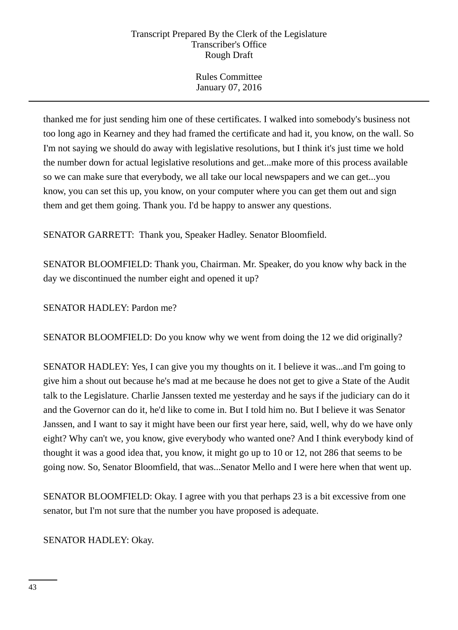Rules Committee January 07, 2016

thanked me for just sending him one of these certificates. I walked into somebody's business not too long ago in Kearney and they had framed the certificate and had it, you know, on the wall. So I'm not saying we should do away with legislative resolutions, but I think it's just time we hold the number down for actual legislative resolutions and get...make more of this process available so we can make sure that everybody, we all take our local newspapers and we can get...you know, you can set this up, you know, on your computer where you can get them out and sign them and get them going. Thank you. I'd be happy to answer any questions.

SENATOR GARRETT: Thank you, Speaker Hadley. Senator Bloomfield.

SENATOR BLOOMFIELD: Thank you, Chairman. Mr. Speaker, do you know why back in the day we discontinued the number eight and opened it up?

SENATOR HADLEY: Pardon me?

SENATOR BLOOMFIELD: Do you know why we went from doing the 12 we did originally?

SENATOR HADLEY: Yes, I can give you my thoughts on it. I believe it was...and I'm going to give him a shout out because he's mad at me because he does not get to give a State of the Audit talk to the Legislature. Charlie Janssen texted me yesterday and he says if the judiciary can do it and the Governor can do it, he'd like to come in. But I told him no. But I believe it was Senator Janssen, and I want to say it might have been our first year here, said, well, why do we have only eight? Why can't we, you know, give everybody who wanted one? And I think everybody kind of thought it was a good idea that, you know, it might go up to 10 or 12, not 286 that seems to be going now. So, Senator Bloomfield, that was...Senator Mello and I were here when that went up.

SENATOR BLOOMFIELD: Okay. I agree with you that perhaps 23 is a bit excessive from one senator, but I'm not sure that the number you have proposed is adequate.

SENATOR HADLEY: Okay.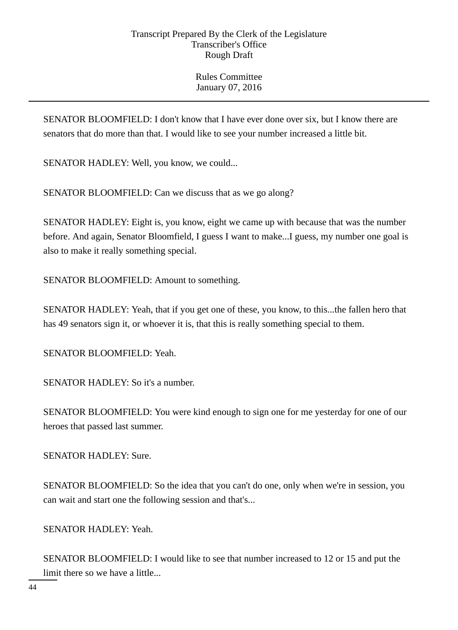SENATOR BLOOMFIELD: I don't know that I have ever done over six, but I know there are senators that do more than that. I would like to see your number increased a little bit.

SENATOR HADLEY: Well, you know, we could...

SENATOR BLOOMFIELD: Can we discuss that as we go along?

SENATOR HADLEY: Eight is, you know, eight we came up with because that was the number before. And again, Senator Bloomfield, I guess I want to make...I guess, my number one goal is also to make it really something special.

SENATOR BLOOMFIELD: Amount to something.

SENATOR HADLEY: Yeah, that if you get one of these, you know, to this...the fallen hero that has 49 senators sign it, or whoever it is, that this is really something special to them.

SENATOR BLOOMFIELD: Yeah.

SENATOR HADLEY: So it's a number.

SENATOR BLOOMFIELD: You were kind enough to sign one for me yesterday for one of our heroes that passed last summer.

SENATOR HADLEY: Sure.

SENATOR BLOOMFIELD: So the idea that you can't do one, only when we're in session, you can wait and start one the following session and that's...

SENATOR HADLEY: Yeah.

SENATOR BLOOMFIELD: I would like to see that number increased to 12 or 15 and put the limit there so we have a little...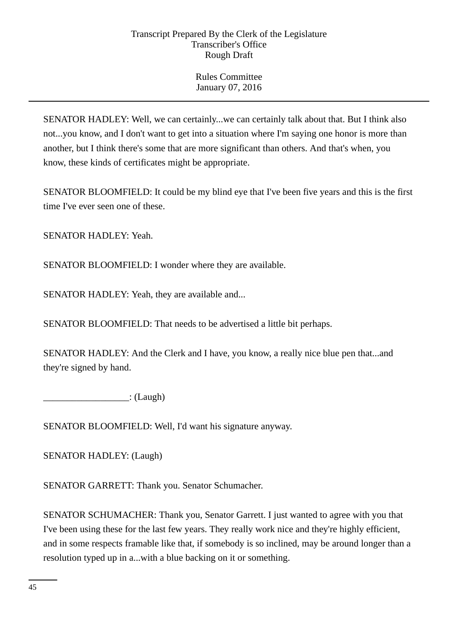Rules Committee January 07, 2016

SENATOR HADLEY: Well, we can certainly...we can certainly talk about that. But I think also not...you know, and I don't want to get into a situation where I'm saying one honor is more than another, but I think there's some that are more significant than others. And that's when, you know, these kinds of certificates might be appropriate.

SENATOR BLOOMFIELD: It could be my blind eye that I've been five years and this is the first time I've ever seen one of these.

SENATOR HADLEY: Yeah.

SENATOR BLOOMFIELD: I wonder where they are available.

SENATOR HADLEY: Yeah, they are available and...

SENATOR BLOOMFIELD: That needs to be advertised a little bit perhaps.

SENATOR HADLEY: And the Clerk and I have, you know, a really nice blue pen that...and they're signed by hand.

\_\_\_\_\_\_\_\_\_\_\_\_\_\_\_\_\_\_: (Laugh)

SENATOR BLOOMFIELD: Well, I'd want his signature anyway.

SENATOR HADLEY: (Laugh)

SENATOR GARRETT: Thank you. Senator Schumacher.

SENATOR SCHUMACHER: Thank you, Senator Garrett. I just wanted to agree with you that I've been using these for the last few years. They really work nice and they're highly efficient, and in some respects framable like that, if somebody is so inclined, may be around longer than a resolution typed up in a...with a blue backing on it or something.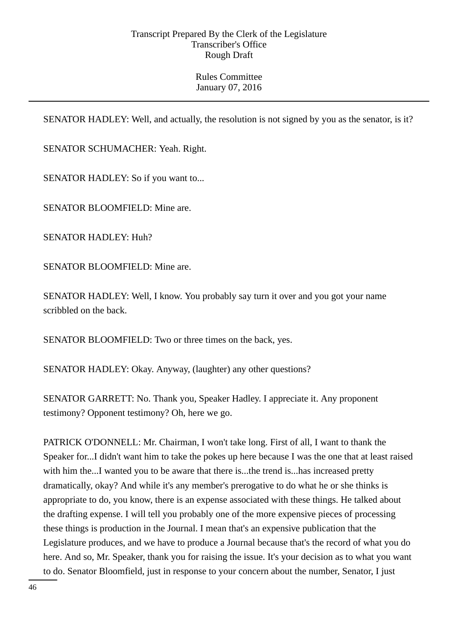Rules Committee January 07, 2016

SENATOR HADLEY: Well, and actually, the resolution is not signed by you as the senator, is it?

SENATOR SCHUMACHER: Yeah. Right.

SENATOR HADLEY: So if you want to...

SENATOR BLOOMFIELD: Mine are.

SENATOR HADLEY: Huh?

SENATOR BLOOMFIELD: Mine are.

SENATOR HADLEY: Well, I know. You probably say turn it over and you got your name scribbled on the back.

SENATOR BLOOMFIELD: Two or three times on the back, yes.

SENATOR HADLEY: Okay. Anyway, (laughter) any other questions?

SENATOR GARRETT: No. Thank you, Speaker Hadley. I appreciate it. Any proponent testimony? Opponent testimony? Oh, here we go.

PATRICK O'DONNELL: Mr. Chairman, I won't take long. First of all, I want to thank the Speaker for...I didn't want him to take the pokes up here because I was the one that at least raised with him the...I wanted you to be aware that there is...the trend is...has increased pretty dramatically, okay? And while it's any member's prerogative to do what he or she thinks is appropriate to do, you know, there is an expense associated with these things. He talked about the drafting expense. I will tell you probably one of the more expensive pieces of processing these things is production in the Journal. I mean that's an expensive publication that the Legislature produces, and we have to produce a Journal because that's the record of what you do here. And so, Mr. Speaker, thank you for raising the issue. It's your decision as to what you want to do. Senator Bloomfield, just in response to your concern about the number, Senator, I just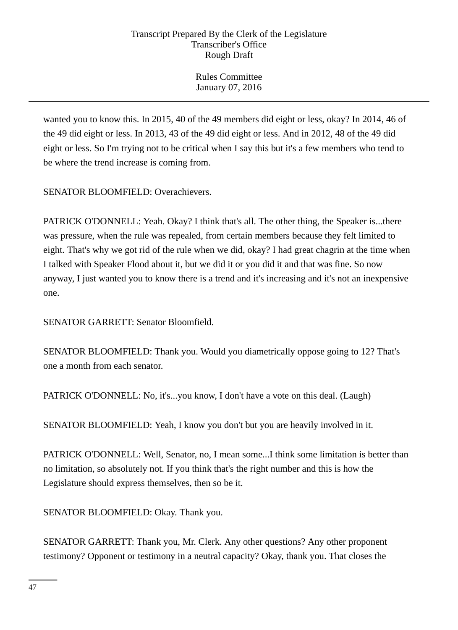Rules Committee January 07, 2016

wanted you to know this. In 2015, 40 of the 49 members did eight or less, okay? In 2014, 46 of the 49 did eight or less. In 2013, 43 of the 49 did eight or less. And in 2012, 48 of the 49 did eight or less. So I'm trying not to be critical when I say this but it's a few members who tend to be where the trend increase is coming from.

SENATOR BLOOMFIELD: Overachievers.

PATRICK O'DONNELL: Yeah. Okay? I think that's all. The other thing, the Speaker is...there was pressure, when the rule was repealed, from certain members because they felt limited to eight. That's why we got rid of the rule when we did, okay? I had great chagrin at the time when I talked with Speaker Flood about it, but we did it or you did it and that was fine. So now anyway, I just wanted you to know there is a trend and it's increasing and it's not an inexpensive one.

SENATOR GARRETT: Senator Bloomfield.

SENATOR BLOOMFIELD: Thank you. Would you diametrically oppose going to 12? That's one a month from each senator.

PATRICK O'DONNELL: No, it's...you know, I don't have a vote on this deal. (Laugh)

SENATOR BLOOMFIELD: Yeah, I know you don't but you are heavily involved in it.

PATRICK O'DONNELL: Well, Senator, no, I mean some...I think some limitation is better than no limitation, so absolutely not. If you think that's the right number and this is how the Legislature should express themselves, then so be it.

SENATOR BLOOMFIELD: Okay. Thank you.

SENATOR GARRETT: Thank you, Mr. Clerk. Any other questions? Any other proponent testimony? Opponent or testimony in a neutral capacity? Okay, thank you. That closes the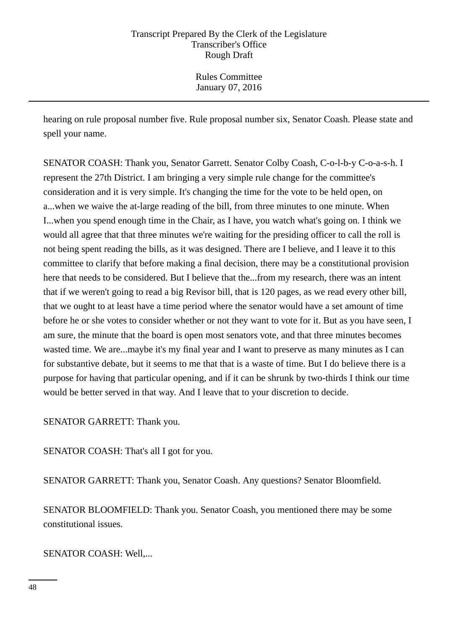hearing on rule proposal number five. Rule proposal number six, Senator Coash. Please state and spell your name.

SENATOR COASH: Thank you, Senator Garrett. Senator Colby Coash, C-o-l-b-y C-o-a-s-h. I represent the 27th District. I am bringing a very simple rule change for the committee's consideration and it is very simple. It's changing the time for the vote to be held open, on a...when we waive the at-large reading of the bill, from three minutes to one minute. When I...when you spend enough time in the Chair, as I have, you watch what's going on. I think we would all agree that that three minutes we're waiting for the presiding officer to call the roll is not being spent reading the bills, as it was designed. There are I believe, and I leave it to this committee to clarify that before making a final decision, there may be a constitutional provision here that needs to be considered. But I believe that the...from my research, there was an intent that if we weren't going to read a big Revisor bill, that is 120 pages, as we read every other bill, that we ought to at least have a time period where the senator would have a set amount of time before he or she votes to consider whether or not they want to vote for it. But as you have seen, I am sure, the minute that the board is open most senators vote, and that three minutes becomes wasted time. We are...maybe it's my final year and I want to preserve as many minutes as I can for substantive debate, but it seems to me that that is a waste of time. But I do believe there is a purpose for having that particular opening, and if it can be shrunk by two-thirds I think our time would be better served in that way. And I leave that to your discretion to decide.

SENATOR GARRETT: Thank you.

SENATOR COASH: That's all I got for you.

SENATOR GARRETT: Thank you, Senator Coash. Any questions? Senator Bloomfield.

SENATOR BLOOMFIELD: Thank you. Senator Coash, you mentioned there may be some constitutional issues.

SENATOR COASH: Well,...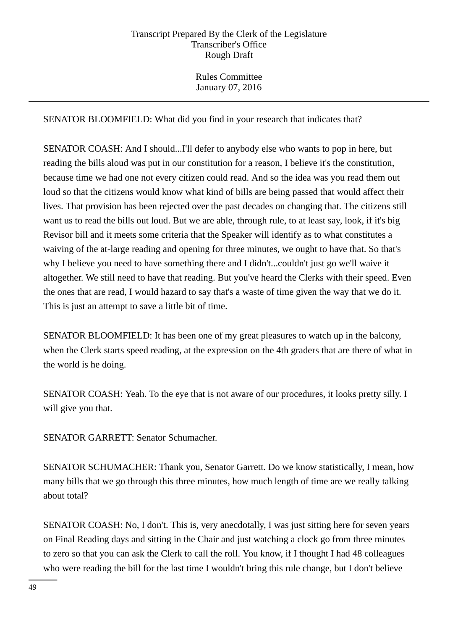Rules Committee January 07, 2016

SENATOR BLOOMFIELD: What did you find in your research that indicates that?

SENATOR COASH: And I should...I'll defer to anybody else who wants to pop in here, but reading the bills aloud was put in our constitution for a reason, I believe it's the constitution, because time we had one not every citizen could read. And so the idea was you read them out loud so that the citizens would know what kind of bills are being passed that would affect their lives. That provision has been rejected over the past decades on changing that. The citizens still want us to read the bills out loud. But we are able, through rule, to at least say, look, if it's big Revisor bill and it meets some criteria that the Speaker will identify as to what constitutes a waiving of the at-large reading and opening for three minutes, we ought to have that. So that's why I believe you need to have something there and I didn't...couldn't just go we'll waive it altogether. We still need to have that reading. But you've heard the Clerks with their speed. Even the ones that are read, I would hazard to say that's a waste of time given the way that we do it. This is just an attempt to save a little bit of time.

SENATOR BLOOMFIELD: It has been one of my great pleasures to watch up in the balcony, when the Clerk starts speed reading, at the expression on the 4th graders that are there of what in the world is he doing.

SENATOR COASH: Yeah. To the eye that is not aware of our procedures, it looks pretty silly. I will give you that.

SENATOR GARRETT: Senator Schumacher.

SENATOR SCHUMACHER: Thank you, Senator Garrett. Do we know statistically, I mean, how many bills that we go through this three minutes, how much length of time are we really talking about total?

SENATOR COASH: No, I don't. This is, very anecdotally, I was just sitting here for seven years on Final Reading days and sitting in the Chair and just watching a clock go from three minutes to zero so that you can ask the Clerk to call the roll. You know, if I thought I had 48 colleagues who were reading the bill for the last time I wouldn't bring this rule change, but I don't believe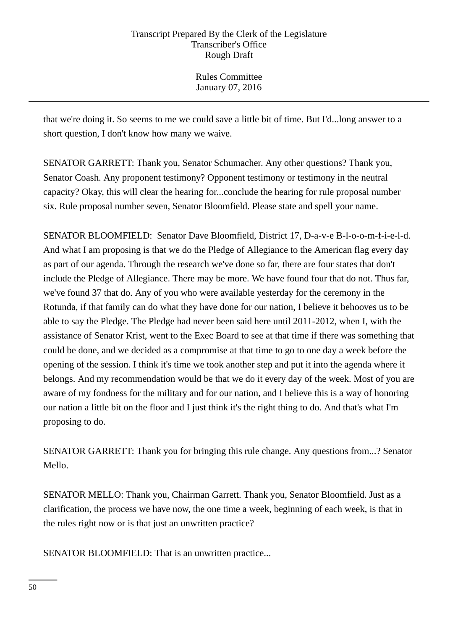Rules Committee January 07, 2016

that we're doing it. So seems to me we could save a little bit of time. But I'd...long answer to a short question, I don't know how many we waive.

SENATOR GARRETT: Thank you, Senator Schumacher. Any other questions? Thank you, Senator Coash. Any proponent testimony? Opponent testimony or testimony in the neutral capacity? Okay, this will clear the hearing for...conclude the hearing for rule proposal number six. Rule proposal number seven, Senator Bloomfield. Please state and spell your name.

SENATOR BLOOMFIELD: Senator Dave Bloomfield, District 17, D-a-v-e B-l-o-o-m-f-i-e-l-d. And what I am proposing is that we do the Pledge of Allegiance to the American flag every day as part of our agenda. Through the research we've done so far, there are four states that don't include the Pledge of Allegiance. There may be more. We have found four that do not. Thus far, we've found 37 that do. Any of you who were available yesterday for the ceremony in the Rotunda, if that family can do what they have done for our nation, I believe it behooves us to be able to say the Pledge. The Pledge had never been said here until 2011-2012, when I, with the assistance of Senator Krist, went to the Exec Board to see at that time if there was something that could be done, and we decided as a compromise at that time to go to one day a week before the opening of the session. I think it's time we took another step and put it into the agenda where it belongs. And my recommendation would be that we do it every day of the week. Most of you are aware of my fondness for the military and for our nation, and I believe this is a way of honoring our nation a little bit on the floor and I just think it's the right thing to do. And that's what I'm proposing to do.

SENATOR GARRETT: Thank you for bringing this rule change. Any questions from...? Senator Mello.

SENATOR MELLO: Thank you, Chairman Garrett. Thank you, Senator Bloomfield. Just as a clarification, the process we have now, the one time a week, beginning of each week, is that in the rules right now or is that just an unwritten practice?

SENATOR BLOOMFIELD: That is an unwritten practice...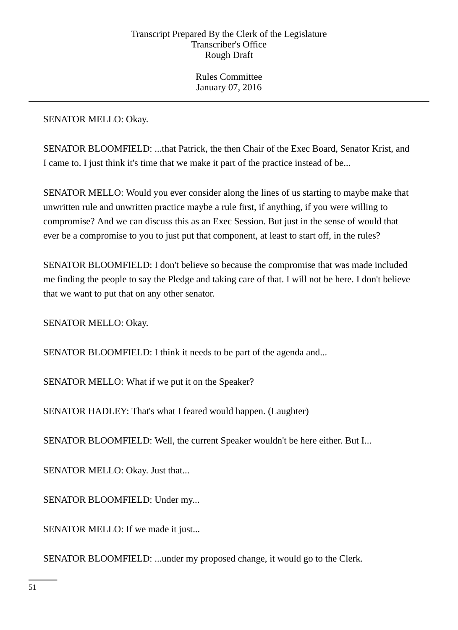SENATOR MELLO: Okay.

SENATOR BLOOMFIELD: ...that Patrick, the then Chair of the Exec Board, Senator Krist, and I came to. I just think it's time that we make it part of the practice instead of be...

SENATOR MELLO: Would you ever consider along the lines of us starting to maybe make that unwritten rule and unwritten practice maybe a rule first, if anything, if you were willing to compromise? And we can discuss this as an Exec Session. But just in the sense of would that ever be a compromise to you to just put that component, at least to start off, in the rules?

SENATOR BLOOMFIELD: I don't believe so because the compromise that was made included me finding the people to say the Pledge and taking care of that. I will not be here. I don't believe that we want to put that on any other senator.

SENATOR MELLO: Okay.

SENATOR BLOOMFIELD: I think it needs to be part of the agenda and...

SENATOR MELLO: What if we put it on the Speaker?

SENATOR HADLEY: That's what I feared would happen. (Laughter)

SENATOR BLOOMFIELD: Well, the current Speaker wouldn't be here either. But I...

SENATOR MELLO: Okay. Just that...

SENATOR BLOOMFIELD: Under my...

SENATOR MELLO: If we made it just...

SENATOR BLOOMFIELD: ...under my proposed change, it would go to the Clerk.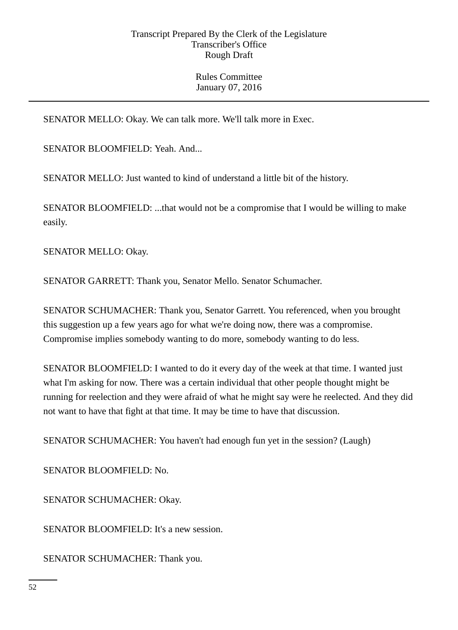SENATOR MELLO: Okay. We can talk more. We'll talk more in Exec.

SENATOR BLOOMFIELD: Yeah. And...

SENATOR MELLO: Just wanted to kind of understand a little bit of the history.

SENATOR BLOOMFIELD: ...that would not be a compromise that I would be willing to make easily.

SENATOR MELLO: Okay.

SENATOR GARRETT: Thank you, Senator Mello. Senator Schumacher.

SENATOR SCHUMACHER: Thank you, Senator Garrett. You referenced, when you brought this suggestion up a few years ago for what we're doing now, there was a compromise. Compromise implies somebody wanting to do more, somebody wanting to do less.

SENATOR BLOOMFIELD: I wanted to do it every day of the week at that time. I wanted just what I'm asking for now. There was a certain individual that other people thought might be running for reelection and they were afraid of what he might say were he reelected. And they did not want to have that fight at that time. It may be time to have that discussion.

SENATOR SCHUMACHER: You haven't had enough fun yet in the session? (Laugh)

SENATOR BLOOMFIELD: No.

SENATOR SCHUMACHER: Okay.

SENATOR BLOOMFIELD: It's a new session.

SENATOR SCHUMACHER: Thank you.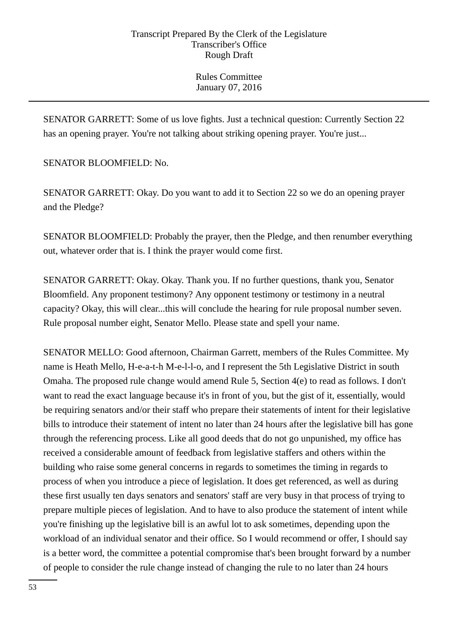SENATOR GARRETT: Some of us love fights. Just a technical question: Currently Section 22 has an opening prayer. You're not talking about striking opening prayer. You're just...

SENATOR BLOOMFIELD: No.

SENATOR GARRETT: Okay. Do you want to add it to Section 22 so we do an opening prayer and the Pledge?

SENATOR BLOOMFIELD: Probably the prayer, then the Pledge, and then renumber everything out, whatever order that is. I think the prayer would come first.

SENATOR GARRETT: Okay. Okay. Thank you. If no further questions, thank you, Senator Bloomfield. Any proponent testimony? Any opponent testimony or testimony in a neutral capacity? Okay, this will clear...this will conclude the hearing for rule proposal number seven. Rule proposal number eight, Senator Mello. Please state and spell your name.

SENATOR MELLO: Good afternoon, Chairman Garrett, members of the Rules Committee. My name is Heath Mello, H-e-a-t-h M-e-l-l-o, and I represent the 5th Legislative District in south Omaha. The proposed rule change would amend Rule 5, Section 4(e) to read as follows. I don't want to read the exact language because it's in front of you, but the gist of it, essentially, would be requiring senators and/or their staff who prepare their statements of intent for their legislative bills to introduce their statement of intent no later than 24 hours after the legislative bill has gone through the referencing process. Like all good deeds that do not go unpunished, my office has received a considerable amount of feedback from legislative staffers and others within the building who raise some general concerns in regards to sometimes the timing in regards to process of when you introduce a piece of legislation. It does get referenced, as well as during these first usually ten days senators and senators' staff are very busy in that process of trying to prepare multiple pieces of legislation. And to have to also produce the statement of intent while you're finishing up the legislative bill is an awful lot to ask sometimes, depending upon the workload of an individual senator and their office. So I would recommend or offer, I should say is a better word, the committee a potential compromise that's been brought forward by a number of people to consider the rule change instead of changing the rule to no later than 24 hours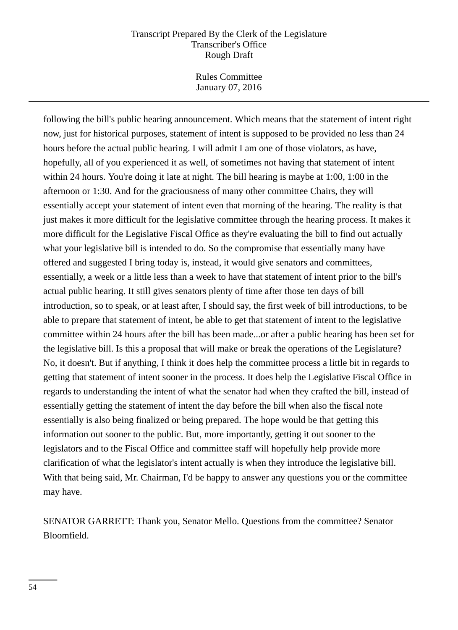Rules Committee January 07, 2016

following the bill's public hearing announcement. Which means that the statement of intent right now, just for historical purposes, statement of intent is supposed to be provided no less than 24 hours before the actual public hearing. I will admit I am one of those violators, as have, hopefully, all of you experienced it as well, of sometimes not having that statement of intent within 24 hours. You're doing it late at night. The bill hearing is maybe at 1:00, 1:00 in the afternoon or 1:30. And for the graciousness of many other committee Chairs, they will essentially accept your statement of intent even that morning of the hearing. The reality is that just makes it more difficult for the legislative committee through the hearing process. It makes it more difficult for the Legislative Fiscal Office as they're evaluating the bill to find out actually what your legislative bill is intended to do. So the compromise that essentially many have offered and suggested I bring today is, instead, it would give senators and committees, essentially, a week or a little less than a week to have that statement of intent prior to the bill's actual public hearing. It still gives senators plenty of time after those ten days of bill introduction, so to speak, or at least after, I should say, the first week of bill introductions, to be able to prepare that statement of intent, be able to get that statement of intent to the legislative committee within 24 hours after the bill has been made...or after a public hearing has been set for the legislative bill. Is this a proposal that will make or break the operations of the Legislature? No, it doesn't. But if anything, I think it does help the committee process a little bit in regards to getting that statement of intent sooner in the process. It does help the Legislative Fiscal Office in regards to understanding the intent of what the senator had when they crafted the bill, instead of essentially getting the statement of intent the day before the bill when also the fiscal note essentially is also being finalized or being prepared. The hope would be that getting this information out sooner to the public. But, more importantly, getting it out sooner to the legislators and to the Fiscal Office and committee staff will hopefully help provide more clarification of what the legislator's intent actually is when they introduce the legislative bill. With that being said, Mr. Chairman, I'd be happy to answer any questions you or the committee may have.

SENATOR GARRETT: Thank you, Senator Mello. Questions from the committee? Senator Bloomfield.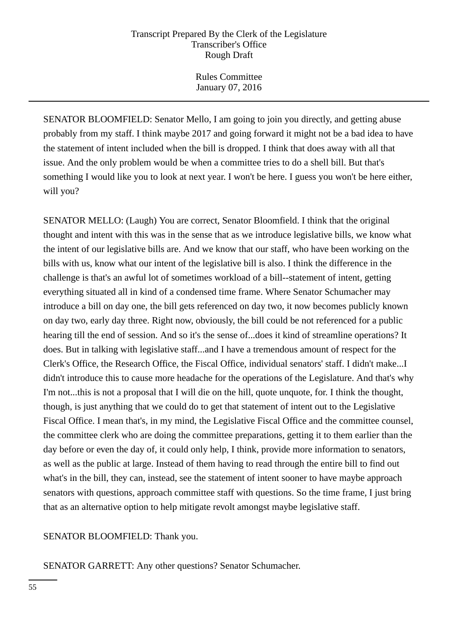Rules Committee January 07, 2016

SENATOR BLOOMFIELD: Senator Mello, I am going to join you directly, and getting abuse probably from my staff. I think maybe 2017 and going forward it might not be a bad idea to have the statement of intent included when the bill is dropped. I think that does away with all that issue. And the only problem would be when a committee tries to do a shell bill. But that's something I would like you to look at next year. I won't be here. I guess you won't be here either, will you?

SENATOR MELLO: (Laugh) You are correct, Senator Bloomfield. I think that the original thought and intent with this was in the sense that as we introduce legislative bills, we know what the intent of our legislative bills are. And we know that our staff, who have been working on the bills with us, know what our intent of the legislative bill is also. I think the difference in the challenge is that's an awful lot of sometimes workload of a bill--statement of intent, getting everything situated all in kind of a condensed time frame. Where Senator Schumacher may introduce a bill on day one, the bill gets referenced on day two, it now becomes publicly known on day two, early day three. Right now, obviously, the bill could be not referenced for a public hearing till the end of session. And so it's the sense of...does it kind of streamline operations? It does. But in talking with legislative staff...and I have a tremendous amount of respect for the Clerk's Office, the Research Office, the Fiscal Office, individual senators' staff. I didn't make...I didn't introduce this to cause more headache for the operations of the Legislature. And that's why I'm not...this is not a proposal that I will die on the hill, quote unquote, for. I think the thought, though, is just anything that we could do to get that statement of intent out to the Legislative Fiscal Office. I mean that's, in my mind, the Legislative Fiscal Office and the committee counsel, the committee clerk who are doing the committee preparations, getting it to them earlier than the day before or even the day of, it could only help, I think, provide more information to senators, as well as the public at large. Instead of them having to read through the entire bill to find out what's in the bill, they can, instead, see the statement of intent sooner to have maybe approach senators with questions, approach committee staff with questions. So the time frame, I just bring that as an alternative option to help mitigate revolt amongst maybe legislative staff.

SENATOR BLOOMFIELD: Thank you.

SENATOR GARRETT: Any other questions? Senator Schumacher.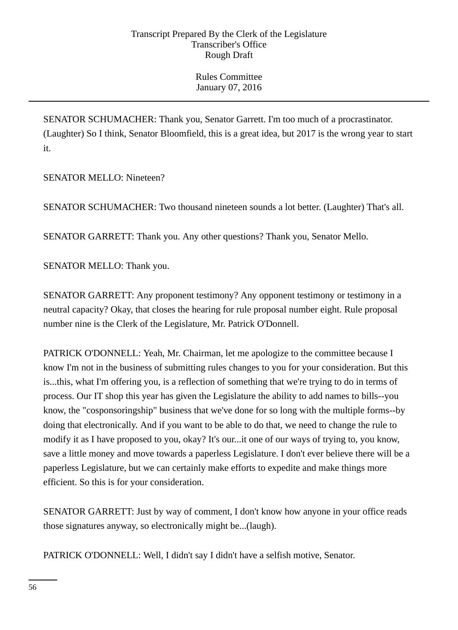SENATOR SCHUMACHER: Thank you, Senator Garrett. I'm too much of a procrastinator. (Laughter) So I think, Senator Bloomfield, this is a great idea, but 2017 is the wrong year to start it.

SENATOR MELLO: Nineteen?

SENATOR SCHUMACHER: Two thousand nineteen sounds a lot better. (Laughter) That's all.

SENATOR GARRETT: Thank you. Any other questions? Thank you, Senator Mello.

SENATOR MELLO: Thank you.

SENATOR GARRETT: Any proponent testimony? Any opponent testimony or testimony in a neutral capacity? Okay, that closes the hearing for rule proposal number eight. Rule proposal number nine is the Clerk of the Legislature, Mr. Patrick O'Donnell.

PATRICK O'DONNELL: Yeah, Mr. Chairman, let me apologize to the committee because I know I'm not in the business of submitting rules changes to you for your consideration. But this is...this, what I'm offering you, is a reflection of something that we're trying to do in terms of process. Our IT shop this year has given the Legislature the ability to add names to bills--you know, the "cosponsoringship" business that we've done for so long with the multiple forms--by doing that electronically. And if you want to be able to do that, we need to change the rule to modify it as I have proposed to you, okay? It's our...it one of our ways of trying to, you know, save a little money and move towards a paperless Legislature. I don't ever believe there will be a paperless Legislature, but we can certainly make efforts to expedite and make things more efficient. So this is for your consideration.

SENATOR GARRETT: Just by way of comment, I don't know how anyone in your office reads those signatures anyway, so electronically might be...(laugh).

PATRICK O'DONNELL: Well, I didn't say I didn't have a selfish motive, Senator.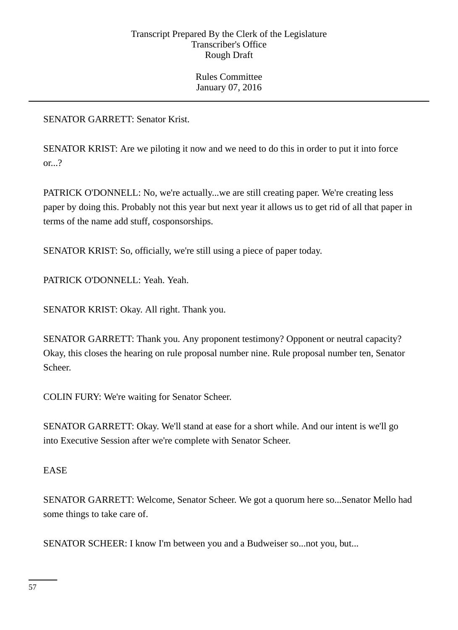SENATOR GARRETT: Senator Krist.

SENATOR KRIST: Are we piloting it now and we need to do this in order to put it into force or...?

PATRICK O'DONNELL: No, we're actually...we are still creating paper. We're creating less paper by doing this. Probably not this year but next year it allows us to get rid of all that paper in terms of the name add stuff, cosponsorships.

SENATOR KRIST: So, officially, we're still using a piece of paper today.

PATRICK O'DONNELL: Yeah. Yeah.

SENATOR KRIST: Okay. All right. Thank you.

SENATOR GARRETT: Thank you. Any proponent testimony? Opponent or neutral capacity? Okay, this closes the hearing on rule proposal number nine. Rule proposal number ten, Senator Scheer.

COLIN FURY: We're waiting for Senator Scheer.

SENATOR GARRETT: Okay. We'll stand at ease for a short while. And our intent is we'll go into Executive Session after we're complete with Senator Scheer.

## EASE

SENATOR GARRETT: Welcome, Senator Scheer. We got a quorum here so...Senator Mello had some things to take care of.

SENATOR SCHEER: I know I'm between you and a Budweiser so...not you, but...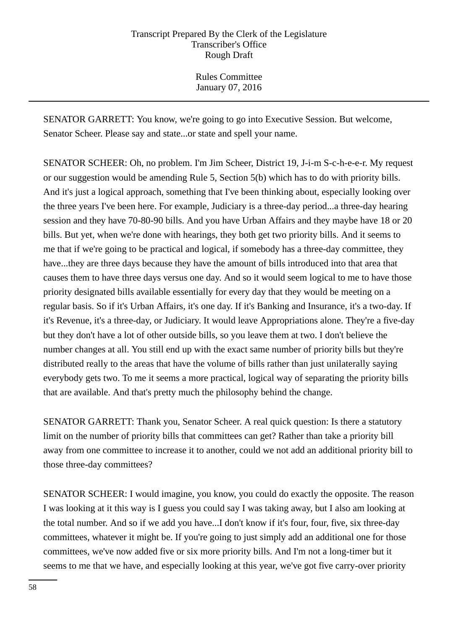Rules Committee January 07, 2016

SENATOR GARRETT: You know, we're going to go into Executive Session. But welcome, Senator Scheer. Please say and state...or state and spell your name.

SENATOR SCHEER: Oh, no problem. I'm Jim Scheer, District 19, J-i-m S-c-h-e-e-r. My request or our suggestion would be amending Rule 5, Section 5(b) which has to do with priority bills. And it's just a logical approach, something that I've been thinking about, especially looking over the three years I've been here. For example, Judiciary is a three-day period...a three-day hearing session and they have 70-80-90 bills. And you have Urban Affairs and they maybe have 18 or 20 bills. But yet, when we're done with hearings, they both get two priority bills. And it seems to me that if we're going to be practical and logical, if somebody has a three-day committee, they have...they are three days because they have the amount of bills introduced into that area that causes them to have three days versus one day. And so it would seem logical to me to have those priority designated bills available essentially for every day that they would be meeting on a regular basis. So if it's Urban Affairs, it's one day. If it's Banking and Insurance, it's a two-day. If it's Revenue, it's a three-day, or Judiciary. It would leave Appropriations alone. They're a five-day but they don't have a lot of other outside bills, so you leave them at two. I don't believe the number changes at all. You still end up with the exact same number of priority bills but they're distributed really to the areas that have the volume of bills rather than just unilaterally saying everybody gets two. To me it seems a more practical, logical way of separating the priority bills that are available. And that's pretty much the philosophy behind the change.

SENATOR GARRETT: Thank you, Senator Scheer. A real quick question: Is there a statutory limit on the number of priority bills that committees can get? Rather than take a priority bill away from one committee to increase it to another, could we not add an additional priority bill to those three-day committees?

SENATOR SCHEER: I would imagine, you know, you could do exactly the opposite. The reason I was looking at it this way is I guess you could say I was taking away, but I also am looking at the total number. And so if we add you have...I don't know if it's four, four, five, six three-day committees, whatever it might be. If you're going to just simply add an additional one for those committees, we've now added five or six more priority bills. And I'm not a long-timer but it seems to me that we have, and especially looking at this year, we've got five carry-over priority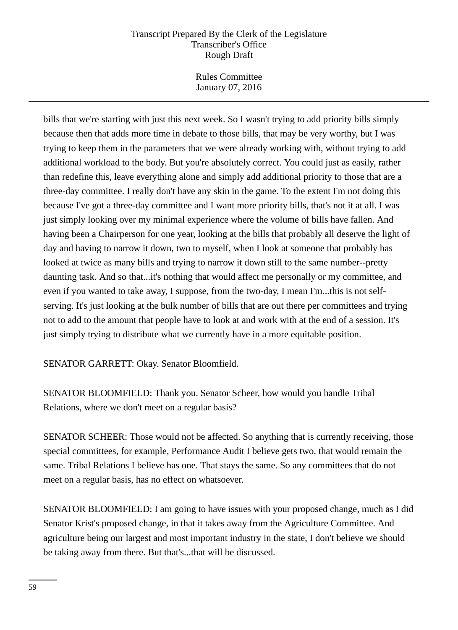Rules Committee January 07, 2016

bills that we're starting with just this next week. So I wasn't trying to add priority bills simply because then that adds more time in debate to those bills, that may be very worthy, but I was trying to keep them in the parameters that we were already working with, without trying to add additional workload to the body. But you're absolutely correct. You could just as easily, rather than redefine this, leave everything alone and simply add additional priority to those that are a three-day committee. I really don't have any skin in the game. To the extent I'm not doing this because I've got a three-day committee and I want more priority bills, that's not it at all. I was just simply looking over my minimal experience where the volume of bills have fallen. And having been a Chairperson for one year, looking at the bills that probably all deserve the light of day and having to narrow it down, two to myself, when I look at someone that probably has looked at twice as many bills and trying to narrow it down still to the same number--pretty daunting task. And so that...it's nothing that would affect me personally or my committee, and even if you wanted to take away, I suppose, from the two-day, I mean I'm...this is not selfserving. It's just looking at the bulk number of bills that are out there per committees and trying not to add to the amount that people have to look at and work with at the end of a session. It's just simply trying to distribute what we currently have in a more equitable position.

SENATOR GARRETT: Okay. Senator Bloomfield.

SENATOR BLOOMFIELD: Thank you. Senator Scheer, how would you handle Tribal Relations, where we don't meet on a regular basis?

SENATOR SCHEER: Those would not be affected. So anything that is currently receiving, those special committees, for example, Performance Audit I believe gets two, that would remain the same. Tribal Relations I believe has one. That stays the same. So any committees that do not meet on a regular basis, has no effect on whatsoever.

SENATOR BLOOMFIELD: I am going to have issues with your proposed change, much as I did Senator Krist's proposed change, in that it takes away from the Agriculture Committee. And agriculture being our largest and most important industry in the state, I don't believe we should be taking away from there. But that's...that will be discussed.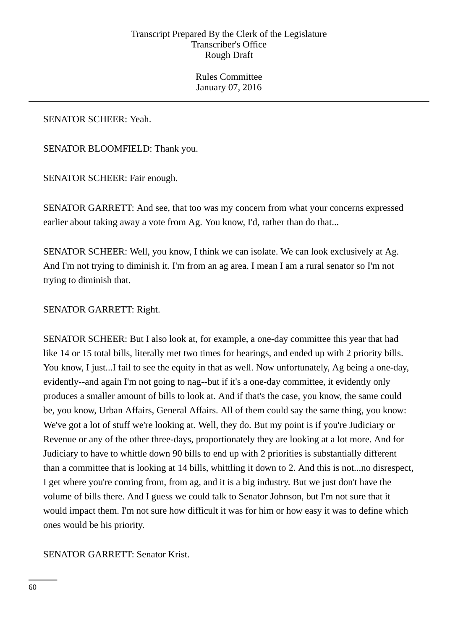Rules Committee January 07, 2016

SENATOR SCHEER: Yeah.

SENATOR BLOOMFIELD: Thank you.

SENATOR SCHEER: Fair enough.

SENATOR GARRETT: And see, that too was my concern from what your concerns expressed earlier about taking away a vote from Ag. You know, I'd, rather than do that...

SENATOR SCHEER: Well, you know, I think we can isolate. We can look exclusively at Ag. And I'm not trying to diminish it. I'm from an ag area. I mean I am a rural senator so I'm not trying to diminish that.

# SENATOR GARRETT: Right.

SENATOR SCHEER: But I also look at, for example, a one-day committee this year that had like 14 or 15 total bills, literally met two times for hearings, and ended up with 2 priority bills. You know, I just...I fail to see the equity in that as well. Now unfortunately, Ag being a one-day, evidently--and again I'm not going to nag--but if it's a one-day committee, it evidently only produces a smaller amount of bills to look at. And if that's the case, you know, the same could be, you know, Urban Affairs, General Affairs. All of them could say the same thing, you know: We've got a lot of stuff we're looking at. Well, they do. But my point is if you're Judiciary or Revenue or any of the other three-days, proportionately they are looking at a lot more. And for Judiciary to have to whittle down 90 bills to end up with 2 priorities is substantially different than a committee that is looking at 14 bills, whittling it down to 2. And this is not...no disrespect, I get where you're coming from, from ag, and it is a big industry. But we just don't have the volume of bills there. And I guess we could talk to Senator Johnson, but I'm not sure that it would impact them. I'm not sure how difficult it was for him or how easy it was to define which ones would be his priority.

## SENATOR GARRETT: Senator Krist.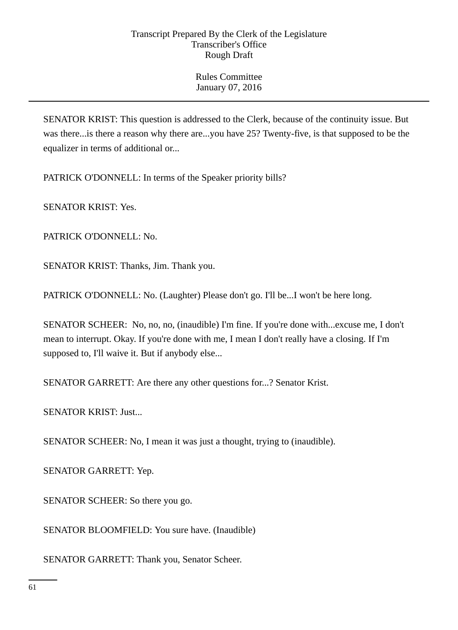SENATOR KRIST: This question is addressed to the Clerk, because of the continuity issue. But was there...is there a reason why there are...you have 25? Twenty-five, is that supposed to be the equalizer in terms of additional or...

PATRICK O'DONNELL: In terms of the Speaker priority bills?

SENATOR KRIST: Yes.

PATRICK O'DONNELL: No.

SENATOR KRIST: Thanks, Jim. Thank you.

PATRICK O'DONNELL: No. (Laughter) Please don't go. I'll be...I won't be here long.

SENATOR SCHEER: No, no, no, (inaudible) I'm fine. If you're done with...excuse me, I don't mean to interrupt. Okay. If you're done with me, I mean I don't really have a closing. If I'm supposed to, I'll waive it. But if anybody else...

SENATOR GARRETT: Are there any other questions for...? Senator Krist.

SENATOR KRIST: Just...

SENATOR SCHEER: No, I mean it was just a thought, trying to (inaudible).

SENATOR GARRETT: Yep.

SENATOR SCHEER: So there you go.

SENATOR BLOOMFIELD: You sure have. (Inaudible)

SENATOR GARRETT: Thank you, Senator Scheer.